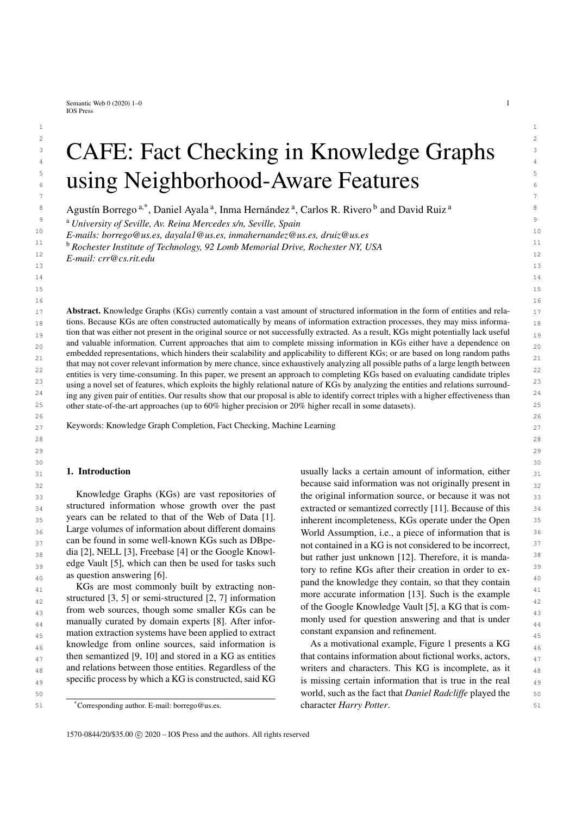Semantic Web  $0$  (2020) 1–0 1 IOS Press

# $\sim$  2 3 3  $\overline{C}$  CAFE: Fact Checking in Knowledge Graphs 5 5 **Example 3 and Seighborhood-Aware Features** 7 7

 $1$ 

<span id="page-0-0"></span><sup>8</sup> Agustín Borrego<sup>[a,](#page-0-0)[\\*](#page-0-1)</sup>, D[a](#page-0-0)niel Ayala<sup>a</sup>, Inma Hernández<sup>a</sup>, Carlos R. Rivero<sup>[b](#page-0-2)</sup> and David Ruiz<sup>a</sup>

<span id="page-0-2"></span>9 9 <sup>a</sup> *University of Seville, Av. Reina Mercedes s/n, Seville, Spain*

10 10 *E-mails: [borrego@us.es,](mailto:borrego@us.es) [dayala1@us.es,](mailto:dayala1@us.es) [inmahernandez@us.es,](mailto:inmahernandez@us.es) [druiz@us.es](mailto:druiz@us.es)*  $\frac{11}{11}$  h and the second second  $\frac{11}{11}$  h and  $\frac{11}{11}$  h and  $\frac{11}{11}$  h and  $\frac{11}{11}$  h and  $\frac{11}{11}$  h and  $\frac{11}{11}$  h and  $\frac{11}{11}$  h and  $\frac{11}{11}$  h and  $\frac{11}{11}$  h and  $\frac{11}{11}$  h and  $\frac{1$ 

12 12 <sup>b</sup> *Rochester Institute of Technology, 92 Lomb Memorial Drive, Rochester NY, USA*

 $\frac{13}{13}$  13 *E-mail: [crr@cs.rit.edu](mailto:crr@cs.rit.edu)*

17 **Abstract.** Knowledge Graphs (KGs) currently contain a vast amount of structured information in the form of entities and rela-<br>17  $_{18}$  tions. Because KGs are often constructed automatically by means of information extraction processes, they may miss informa- $_{19}$  tion that was either not present in the original source or not successfully extracted. As a result, KGs might potentially lack useful  $_{19}$ and valuable information. Current approaches that aim to complete missing information in KGs either have a dependence on  $_{20}$ embedded representations, which hinders their scalability and applicability to different KGs; or are based on long random paths  $_{21}$ <sup>22</sup> entities is very time-consuming. In this paper, we present an approach to completing KGs based on evaluating candidate triples<sup>22</sup> <sup>23</sup> using a novel set of features, which exploits the highly relational nature of KGs by analyzing the entities and relations surround-<sup>24</sup> ing any given pair of entities. Our results show that our proposal is able to identify correct triples with a higher effectiveness than <sup>24</sup> 25 25 other state-of-the-art approaches (up to 60% higher precision or 20% higher recall in some datasets). that may not cover relevant information by mere chance, since exhaustively analyzing all possible paths of a large length between

 $_{27}$  Keywords: Knowledge Graph Completion, Fact Checking, Machine Learning  $_{27}$ 

#### 1. Introduction

 $_{33}$  Knowledge Graphs (KGs) are vast repositories of the original information source, or because it was not  $_{33}$  $34$  structured information whose growth over the past extracted or semantized correctly [\[11](#page-12-5)]. Because of this  $34$ 35 years can be related to that of the Web of Data [1]. inherent incompleteness, KGs operate under the Open 35 <sup>36</sup> Large volumes of information about different domains World Assumption, i.e., a piece of information that is  $^{37}$  can be found in some well-known KGs such as DB permet and contained in a KG is not considered to be incorrect,  $\frac{38}{28}$  dia [\[2\]](#page-11-1), NELL [\[3](#page-11-2)], Freebase [\[4](#page-11-3)] or the Google Knowl- $\frac{39}{2}$  edge Vault [\[5\]](#page-11-4), which can then be used for tasks such the such a state of the linear time in a state in the such as  $\frac{39}{2}$ Knowledge Graphs (KGs) are vast repositories of structured information whose growth over the past years can be related to that of the Web of Data [\[1\]](#page-11-0). Large volumes of information about different domains can be found in some well-known KGs such as DBpeas question answering [\[6](#page-12-0)].

42 structured [\[3,](#page-11-2) [5](#page-11-4)] or semi-structured [\[2,](#page-11-1) [7](#page-12-1)] information more accurate information [13]. Such is the example  $_{43}$  from web sources, though some smaller KGs can be  $_{43}$  of the Google Knowledge Vault [5], a KG that is com- $_{44}$  manually curated by domain experts [\[8\]](#page-12-2). After infor- monly used for question answering and that is under  $_{44}$  $_{45}$  mation extraction systems have been applied to extract constant expansion and refinement. 46 knowledge from online sources, said information is As a motivational example, Figure 1 presents a KG  $_{46}$  $_{47}$  then semantized [\[9](#page-12-3), [10\]](#page-12-4) and stored in a KG as entities that contains information about fictional works, actors,  $_{48}$  and relations between those entities. Regardless of the writers and characters. This KG is incomplete, as it  $_{48}$ 49 specific process by which a KG is constructed, said KG is missing certain information that is true in the real  $\frac{49}{9}$ specific process by which a KG is constructed, said KG

31 31 usually lacks a certain amount of information, either 32 32 because said information was not originally present in as question answering [0].<br>  $\frac{40}{40}$  as question answering long and the knowledge they contain, so that they contain  $_{41}$  KGs are most commonly built by extracting non-<br> $_{41}$  and the knowledge they contain, so that they contain but rather just unknown [\[12\]](#page-12-6). Therefore, it is mandatory to refine KGs after their creation in order to exmore accurate information [\[13\]](#page-12-7). Such is the example of the Google Knowledge Vault [\[5\]](#page-11-4), a KG that is commonly used for question answering and that is under constant expansion and refinement.

50 50 world, such as the fact that *Daniel Radcliffe* played the <sup>\*</sup>Corresponding author. E-mail: [borrego@us.es.](mailto:borrego@us.es) **Corresponding author.** E-mail: borrego@us.es. **Corresponding author.** E-mail: borrego@us.es. As a motivational example, Figure [1](#page-1-0) presents a KG that contains information about fictional works, actors, writers and characters. This KG is incomplete, as it character *Harry Potter*.

<span id="page-0-1"></span>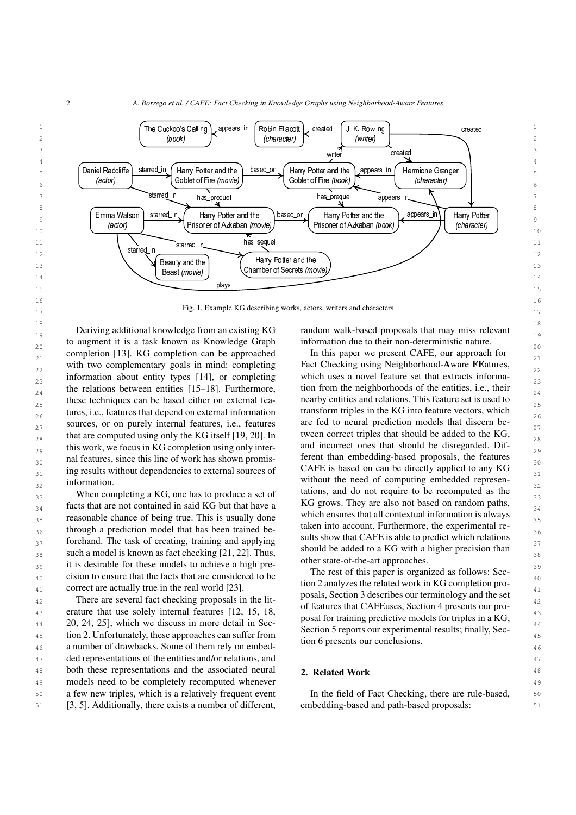

17 17 Fig. 1. Example KG describing works, actors, writers and characters

 $18$  $\frac{1}{19}$  Deriving additional knowledge from an existing KG random walk-based proposals that may miss relevant to augment it is a task known as Knowledge Graph information due to their non-deterministic nature. completion [\[13\]](#page-12-7). KG completion can be approached In this paper we present CAFE, our approach for  $\frac{1}{21}$ <sup>2</sup> 22 with two complementary goals in mind: completing Fact Checking using Neighborhood-Aware FEatures,  $_{23}$  information about entity types [\[14](#page-12-8)], or completing which uses a novel feature set that extracts informa-the relations between entities [\[15](#page-12-9)[–18](#page-12-10)]. Furthermore, tion from the neighborhoods of the entities, i.e., their these techniques can be based either on external fea-<br>nearby entities and relations. This feature set is used to tures, i.e., features that depend on external information transform triples in the KG into feature vectors, which  $_{27}$  sources, or on purely internal features, i.e., features are fed to neural prediction models that discern be-that are computed using only the KG itself [\[19](#page-12-11), [20](#page-12-12)]. In tween correct triples that should be added to the KG, this work, we focus in KG completion using only inter-<br>and incorrect ones that should be disregarded. Dif- $_{30}$  and features, since this line of work has shown promis-<br> $_{30}$  are than embedding-based proposals, the features  $_{31}$  ing results without dependencies to external sources of CAFE is based on can be directly applied to any KG  $\frac{32}{32}$  information.  $\frac{32}{32}$ Deriving additional knowledge from an existing KG information.

 $_{33}$  When completing a KG, one has to produce a set of tations, and do not require to be recomputed as the  $_{33}$  $_{34}$  facts that are not contained in said KG but that have a  $\mu$ KG grows. They are also not based on random paths,  $_{35}$  reasonable chance of being true. This is usually done which ensures that all contextual information is always  $_{36}$  through a prediction model that has been trained be-<br> $_{36}$  taken into account. Furthermore, the experimental re- $37$  forehand. The task of creating, training and applying suits show that CAFE is able to predict which relations  $_{38}$  such a model is known as fact checking [\[21,](#page-12-13) [22](#page-12-14)]. Thus, should be added to a KG with a higher precision than  $39$  it is desirable for these models to achieve a high pre-<br> $\frac{39}{2}$  it is desirable for these models to achieve a high pre-<sub>40</sub> cision to ensure that the facts that are considered to be the rest of this paper is organized as follows: Sec-<sup>41</sup> correct are actually true in the real world [\[23\]](#page-12-15). Correct are actually true in the real world [23].

43 erature that use solely internal features [\[12,](#page-12-6) [15,](#page-12-9) [18](#page-12-10), b) is realised that CAP Euses, section 4 presents our pro-44 [20](#page-12-12), [24](#page-12-16), [25](#page-12-17)], which we discuss in more detail in Sec-<br>  $\frac{1}{2}$  and the discuss in the sec-<br>  $\frac{1}{2}$  and the sec-<br>  $\frac{1}{2}$  and the sec-<br>  $\frac{1}{2}$  and the sec-<br>  $\frac{1}{2}$  and the sec-<br>  $\frac{1}{2}$  and the sec-<br>  $\frac{1}{$ 45 tion [2.](#page-1-1) Unfortunately, these approaches can suffer from Section 5 reports our experimental results, many, Section 45 46 a number of drawbacks. Some of them rely on embed-<br>46 47 47 ded representations of the entities and/or relations, and 48 both these representations and the associated neural **2. Related Work** 48 49 49 models need to be completely recomputed whenever 50 50 a few new triples, which is a relatively frequent event 51 51 [\[3,](#page-11-2) [5\]](#page-11-4). Additionally, there exists a number of different,

<span id="page-1-0"></span>information due to their non-deterministic nature.

In this paper we present CAFE, our approach for Fact Checking using Neighborhood-Aware FEatures, which uses a novel feature set that extracts information from the neighborhoods of the entities, i.e., their nearby entities and relations. This feature set is used to transform triples in the KG into feature vectors, which are fed to neural prediction models that discern between correct triples that should be added to the KG, and incorrect ones that should be disregarded. Different than embedding-based proposals, the features CAFE is based on can be directly applied to any KG tations, and do not require to be recomputed as the KG grows. They are also not based on random paths, which ensures that all contextual information is always taken into account. Furthermore, the experimental results show that CAFE is able to predict which relations should be added to a KG with a higher precision than other state-of-the-art approaches.

<sup>42</sup> There are several fact checking proposals in the lit-<br><sup>22</sup> Posais, Section 3 defines on terminogy and the set The rest of this paper is organized as follows: Section [2](#page-1-1) analyzes the related work in KG completion proposals, Section [3](#page-2-0) describes our terminology and the set of features that CAFEuses, Section [4](#page-5-0) presents our proposal for training predictive models for triples in a KG, Section [5](#page-6-0) reports our experimental results; finally, Section [6](#page-9-0) presents our conclusions.

## <span id="page-1-1"></span>2. Related Work

In the field of Fact Checking, there are rule-based, embedding-based and path-based proposals: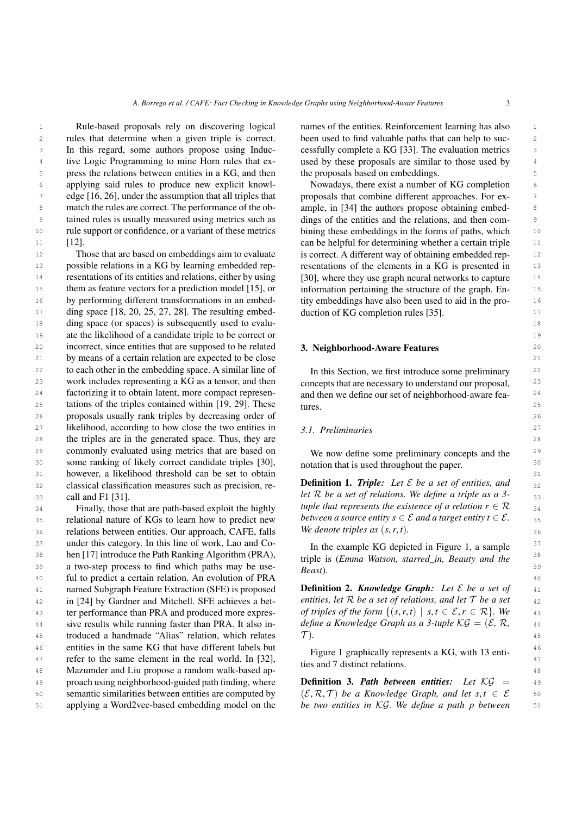1 1 **1 Rule-based proposals rely on discovering logical names of the entities. Reinforcement learning has also 1** 2 rules that determine when a given triple is correct. been used to find valuable paths that can help to suc-3 In this regard, some authors propose using Induc- cessfully complete a KG [33]. The evaluation metrics 3 <sup>4</sup> tive Logic Programming to mine Horn rules that ex-<br>a used by these proposals are similar to those used by <sup>4</sup> press the relations between entities in a KG, and then the proposals based on embeddings. 6 6 applying said rules to produce new explicit knowl-<sup>7</sup> edge [\[16,](#page-12-18) [26\]](#page-12-19), under the assumption that all triples that proposals that combine different approaches. For ex-8 match the rules are correct. The performance of the ob-<br>ample, in [34] the authors propose obtaining embed-<sup>9</sup> tained rules is usually measured using metrics such as dings of the entities and the relations, and then com-10 10 rule support or confidence, or a variant of these metrics Rule-based proposals rely on discovering logical [\[12\]](#page-12-6).

12 12 Those that are based on embeddings aim to evaluate is correct. A different way of obtaining embedded rep-13 possible relations in a KG by learning embedded rep-<br>resentations of the elements in a KG is presented in 13 14 14 resentations of its entities and relations, either by using 15 them as feature vectors for a prediction model [\[15](#page-12-9)], or information pertaining the structure of the graph. En-16 by performing different transformations in an embed-<br>16 tity embeddings have also been used to aid in the pro-<br>16 <sup>17</sup> ding space [\[18,](#page-12-10) [20](#page-12-12), [25,](#page-12-17) [27](#page-12-20), [28\]](#page-12-21). The resulting embed-<br><sup>17</sup> 18 18 ding space (or spaces) is subsequently used to evalu-19 19 ate the likelihood of a candidate triple to be correct or 20 incorrect, since entities that are supposed to be related **3. Neighborhood-Aware Features** 20 21 21 by means of a certain relation are expected to be close 22 to each other in the embedding space. A similar line of In this Section, we first introduce some preliminary 22 23 23 work includes representing a KG as a tensor, and then 24 factorizing it to obtain latent, more compact represen-<br>and then we define our set of neighborhood-aware fea-<br>24 25 tations of the triples contained within [\[19](#page-12-11), [29\]](#page-12-22). These tures. 25 26 26 proposals usually rank triples by decreasing order of 27 likelihood, according to how close the two entities in 3.1 Preliminaries 27 28 28 the triples are in the generated space. Thus, they are 29 commonly evaluated using metrics that are based on We now define some preliminary concepts and the 29 30 30 some ranking of likely correct candidate triples [\[30\]](#page-12-23), 31 31 however, a likelihood threshold can be set to obtain  $32$  classical classification measures such as precision, re-<br>Definition 1. Triple: Let  $\mathcal E$  be a set of entities, and  $32$ 33 33 *let* R *be a set of relations. We define a triple as a 3* call and F1 [\[31\]](#page-12-24).

35 relational nature of KGs to learn how to predict new between a source entity  $s \in \mathcal{E}$  and a target entity  $t \in \mathcal{E}$ .  $36$  relations between entities. Our approach, CAFE, falls We denote triples as  $(s, r, t)$ . <sup>37</sup> under this category. In this line of work, Lao and Co-<br><sup>37</sup> 38 **hen** [\[17](#page-12-25)] introduce the Path Ranking Algorithm (PRA),  $\frac{1}{2}$  is (*Emma Watson starred in Beguty and the* 38  $\frac{39}{\sqrt{39}}$  a two-step process to find which paths may be use-<br> $\frac{39}{\sqrt{39}}$ 40 40 ful to predict a certain relation. An evolution of PRA 41 41 Definition 2. *Knowledge Graph: Let* E *be a set of* 42 in [\[24\]](#page-12-16) by Gardner and Mitchell. SFE achieves a bet-<br>entities, let R be a set of relations, and let T be a set  $\frac{42}{2}$ 43 ter performance than PRA and produced more expres-<br>*of triples of the form*  $\{(s, r, t) \mid s, t \in \mathcal{E}, r \in \mathcal{R}\}\$ . We 44 sive results while running faster than PRA. It also in- *define a Knowledge Graph as a 3-tuple KG* =  $(\mathcal{E}, \mathcal{R}, \mathcal{A})$ 45 troduced a handmade "Alias" relation, which relates  $\mathcal{T}$ ). 46 entities in the same KG that have different labels but  $\frac{1}{2}$  and  $\frac{1}{2}$  and  $\frac{1}{2}$  and  $\frac{1}{2}$  and  $\frac{1}{2}$  and  $\frac{1}{2}$  and  $\frac{1}{2}$  and  $\frac{1}{2}$  and  $\frac{1}{2}$  and  $\frac{1}{2}$  and  $\frac{1}{2}$  and  $\frac{1}{2}$ 47 refer to the same element in the real world. In [\[32\]](#page-12-26),  $\frac{1}{2}$  time and 7 distinct relations a red, which is easy of 7 distinct relations. 48 48 Mazumder and Liu propose a random walk-based ap-49 proach using neighborhood-guided path finding, where **Definition 3. Path between entities:** Let  $\mathcal{KG}$  = 49 50 semantic similarities between entities are computed by  $(\mathcal{E}, \mathcal{R}, \mathcal{T})$  be a Knowledge Graph, and let  $s, t \in \mathcal{E}$  50 named Subgraph Feature Extraction (SFE) is proposed ter performance than PRA and produced more expresapplying a Word2vec-based embedding model on the

been used to find valuable paths that can help to successfully complete a KG [\[33](#page-12-27)]. The evaluation metrics used by these proposals are similar to those used by the proposals based on embeddings.

11 [12]. [12] can be helpful for determining whether a certain triple 11 Nowadays, there exist a number of KG completion proposals that combine different approaches. For example, in [\[34](#page-12-28)] the authors propose obtaining embeddings of the entities and the relations, and then combining these embeddings in the forms of paths, which is correct. A different way of obtaining embedded representations of the elements in a KG is presented in [\[30\]](#page-12-23), where they use graph neural networks to capture information pertaining the structure of the graph. Entity embeddings have also been used to aid in the production of KG completion rules [\[35](#page-12-29)].

#### <span id="page-2-0"></span>3. Neighborhood-Aware Features

In this Section, we first introduce some preliminary concepts that are necessary to understand our proposal, and then we define our set of neighborhood-aware features.

# *3.1. Preliminaries*

We now define some preliminary concepts and the notation that is used throughout the paper.

 $34$  Finally, those that are path-based exploit the highly tuple that represents the existence of a relation  $r \in \mathcal{R}$   $34$ Definition 1. *Triple: Let* E *be a set of entities, and tuple that represents the existence of a relation*  $r \in \mathcal{R}$ *between a source entity*  $s \in \mathcal{E}$  *and a target entity*  $t \in \mathcal{E}$ *. We denote triples as* (*s*,*r*, *t*)*.*

> In the example KG depicted in Figure [1,](#page-1-0) a sample triple is (*Emma Watson, starred\_in, Beauty and the Beast*).

*entities, let* R *be a set of relations, and let* T *be a set define a Knowledge Graph as a 3-tuple*  $\mathcal{KG} = (\mathcal{E}, \mathcal{R}, \mathcal{A})$  $\mathcal{T}$ ).

Figure [1](#page-1-0) graphically represents a KG, with 13 entities and 7 distinct relations.

51 51 *be two entities in* KG*. We define a path p between*Definition 3. *Path between entities: Let* KG =  $(\mathcal{E}, \mathcal{R}, \mathcal{T})$  *be a Knowledge Graph, and let s, t*  $\in \mathcal{E}$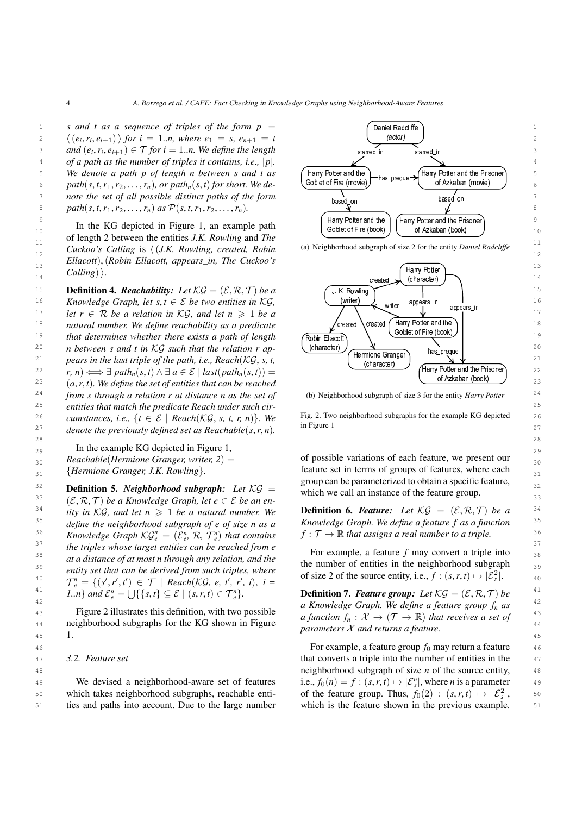of length 2 between the entities *J.K. Rowling* and *The*  $\frac{1}{12}$  Cuckoo's Calling is  $\langle$  (*J.K. Rowling, created, Robin* (a) Neighborhood subgraph of size 2 for the entity Daniel Radcliffe  $\frac{1}{12}$ 13 13 *Ellacott*),(*Robin Ellacott, appears\_in, The Cuckoo's Calling*).

**15 Definition 4.** *Reachability: Let*  $KG = (\mathcal{E}, \mathcal{R}, \mathcal{T})$  *be a*  $\left(\bigcup_{i=1}^{n} K \text{. Rowling}\right)$  15 16 *Knowledge Graph, let s, t*  $\in$  *E be two entities in KG*, (writer) writer appears\_in let appears\_in the second is 17 *let*  $r \in \mathcal{R}$  *be a relation in* KG, and let  $n \geq 1$  *be a*  $\left\{\left\{\right\}$   $\left\{\right\}$   $\left\{\right\}$   $\left\{\right\}$   $\left\{\right\}$   $\left\{\right\}$   $\left\{\right\}$   $\left\{\right\}$   $\left\{\right\}$   $\left\{\right\}$   $\left\{\right\}$   $\left\{\right\}$   $\left\{\right\}$   $\left\{\right\}$   $\left\{\right\}$ <sup>18</sup> *natural number. We define reachability as a predicate*  $\left\{\begin{array}{c} \text{created} \\ \text{created} \end{array}\right\}$   $\left\{\begin{array}{c} \text{Initial} \\ \text{S} \end{array}\right\}$ <sup>19</sup> that determines whether there exists a path of length (Robin Ellacott) (SODIELOTTIFE (DOOK) <sup>20</sup> *n between s and t in KG such that the relation r ap-* (character)  $\frac{1}{\sqrt{1-\frac{1}{2}}\sqrt{1-\frac{1}{2}}\sqrt{1-\frac{1}{2}}\sqrt{1-\frac{1}{2}}\sqrt{1-\frac{1}{2}}\sqrt{1-\frac{1}{2}}\sqrt{1-\frac{1}{2}}\sqrt{1-\frac{1}{2}}\sqrt{1-\frac{1}{2}}\sqrt{1-\frac{1}{2}}\sqrt{1-\frac{1}{2}}\sqrt{1-\frac{1}{2}}\sqrt{1-\frac{1}{2}}$ <sup>21</sup> *pears in the last triple of the path, i.e., Reach*( $\mathcal{KG}, s, t$ ,  $\left\{\begin{array}{c} \text{memione orange} \\ \text{changent} \end{array}\right\}$   $\longrightarrow$   $\mathcal{A}$   $\mathcal{V}$ 22  $r, n) \iff ∃path_n(s, t) \land ∃a \in \mathcal{E} | last(path_n(s, t)) =$  (Harry Potter and the Prisoner) 22  $(a, r, t)$ . We define the set of entities that can be reached  $(a, r, t)$ . We define the set of entities that can be reached  $24$  *from s through a relation r at distance n as the set of* (b) Neighborhood subgraph of size 3 for the entity Harry Potter  $24$ 25 25 *entities that match the predicate Reach under such cir-*26 cumstances i.e.  $\{t \in \mathcal{E} \mid \text{Reach}(KG, s, t, r, n)\}$  We Fig. 2. Two neighborhood subgraphs for the example KG depicted 26 <sup>27</sup> *denote the previously defined set as Reachable*( $s, r, n$ ). In Figure 1 28 28 *cumstances, i.e.,*  $\{t \in \mathcal{E} \mid \text{Reach}(\mathcal{KG}, s, t, r, n)\}.$  We

29 In the example KG depicted in Figure [1,](#page-1-0)  $29$ 

 $32$  **Definition 5.** *Neighborhood subgraph:* Let  $\mathcal{KG} =$  which we call an instance of the feature group 33  $(\mathcal{E}, \mathcal{R}, \mathcal{T})$  *be a Knowledge Graph, let e*  $\in \mathcal{E}$  *be an en-*<br>33 which we can an instance of the reature group.  $^{34}$  ity in KG, and let  $n \geq 1$  be a natural number. We **Definition 6. Feature:** Let KG =  $(\mathcal{E}, \mathcal{R}, \mathcal{T})$  be a <sup>34</sup>  $^{35}$  define the neighborhood subgraph of e of size n as a Knowledge Graph. We define a feature f as a function  $^{35}$ <sup>36</sup> *Knowledge Graph KG*<sup>n</sup> =  $(\mathcal{E}_s^n, \mathcal{R}, \mathcal{T}_s^n)$  that contains  $f: \mathcal{T} \to \mathbb{R}$  that assigns a real number to a triple. <sup>37</sup> the triples whose target entities can be reached from e<br><sup>37</sup>  $\frac{38}{3}$  in the *influence integer entires can be reached from e*<br> $\frac{38}{3}$  For example, a feature *f* may convert a triple into  $\frac{39}{3}$  at a assume by at most number of entities in the neighborhood subgraph  $\frac{3}{3}$ entity set that can be derived from such triples, where of size 2 of the source entity, i.e.,  $f : (s, r, t) \mapsto |\mathcal{E}_s^2|$ . 41  $\{1, \ldots\}$  *and*  $\mathcal{E}_e^n = \bigcup \{\{s, t\} \subseteq \mathcal{E} \mid (s, r, t) \in \mathcal{T}_e^n\}.$  **Definition 7. Feature group:** Let  $\mathcal{KG} = (\mathcal{E}, \mathcal{R}, \mathcal{T})$  be *tity in*  $\mathcal{KG}$ *, and let n*  $\geq$  1 *be a natural number. We define the neighborhood subgraph of e of size n as a Knowledge Graph*  $\mathcal{KG}_{e}^{n} = (\mathcal{E}_{e}^{n}, \mathcal{R}, \mathcal{T}_{e}^{n})$  *that contains at a distance of at most n through any relation, and the entity set that can be derived from such triples, where*  $\mathcal{T}_{e}^{n} = \{ (s', r', t') \in \mathcal{T} \mid \text{Reach}(K\mathcal{G}, e, t', r', i), i =$ 

 $\frac{1}{45}$  1. [1.](#page-1-0)

#### *3.2. Feature set*

50 which takes neighborhood subgraphs, reachable enti- of the feature group. Thus,  $f_0(2) : (s, r, t) \mapsto |\mathcal{E}_s|^2$ , 50 51 ties and paths into account. Due to the large number which is the feature shown in the previous example. 51 We devised a neighborhood-aware set of features



<span id="page-3-2"></span><span id="page-3-1"></span>(a) Neighborhood subgraph of size 2 for the entity *Daniel Radcliffe*



(b) Neighborhood subgraph of size 3 for the entity *Harry Potter*

<span id="page-3-0"></span>in Figure [1](#page-1-0)

 $s_0$  *Reachable*(*Hermione Granger, writer, 2*) =  $\frac{s_0}{s_0}$  of possible variations of each feature, we present our <sub>31</sub> {*Hermione Granger, J.K. Rowling*}. The feature set in terms of groups of features, where each <sub>31</sub> of possible variations of each feature, we present our feature set in terms of groups of features, where each group can be parameterized to obtain a specific feature, which we call an instance of the feature group.

42 42 *a Knowledge Graph. We define a feature group f<sup>n</sup> as* 43 Figure [2](#page-3-0) illustrates this definition, with two possible  $\alpha$  function  $f(x) = \sqrt{(\pi - \mu)^2} \, dx$  and  $\alpha$  and  $\alpha$  and  $\alpha$  and  $\alpha$  and  $\alpha$  and  $\alpha$  and  $\alpha$  and  $\alpha$  and  $\alpha$  and  $\alpha$  and  $\alpha$  and  $\alpha$  and  $\alpha$  and  $\alpha$  a  $44$  neighborhood subgraphs for the KG shown in Figure  $\frac{u}{\mu}$  and  $\frac{u}{\mu}$  the  $\frac{u}{\mu}$  subset of  $\frac{u}{\mu}$  and  $\frac{u}{\mu}$  and  $\frac{u}{\mu}$  and  $\frac{u}{\mu}$  and  $\frac{u}{\mu}$  and  $\frac{u}{\mu}$  and  $\frac{u}{\mu}$  and  $\frac{u}{\mu}$ **Definition 7.** *Feature group:* Let  $\mathcal{KG} = (\mathcal{E}, \mathcal{R}, \mathcal{T})$  be *a function*  $f_n: \mathcal{X} \to (\mathcal{T} \to \mathbb{R})$  *that receives a set of parameters* X *and returns a feature.*

46 46 For example, a feature group *f*<sup>0</sup> may return a feature 47 3.2. Feature set that converts a triple into the number of entities in the 47 48 48 neighborhood subgraph of size *n* of the source entity, 49 We devised a neighborhood-aware set of features i.e.,  $f_0(n) = f : (s, r, t) \mapsto |\mathcal{E}_s^n|$ , where *n* is a parameter 49 of the feature group. Thus,  $f_0(2) : (s, r, t) \mapsto |\mathcal{E}_s^2|$ , which is the feature shown in the previous example.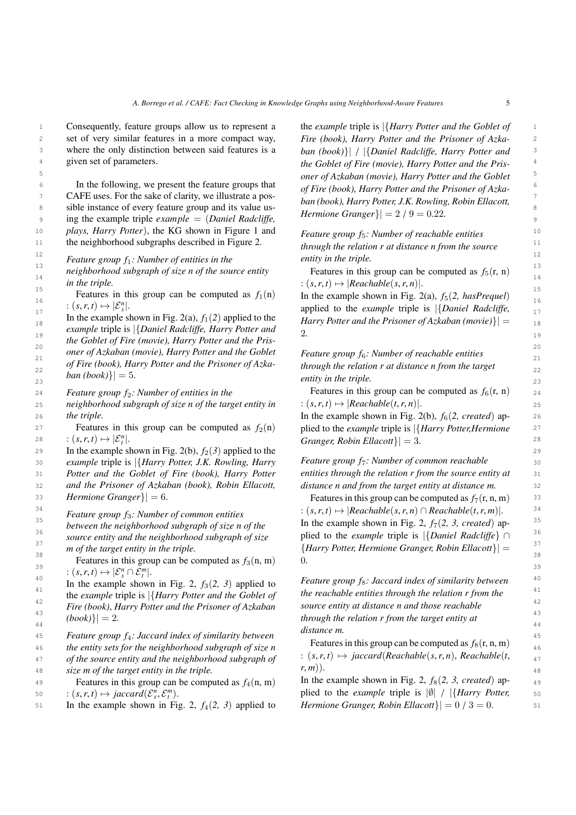1 **1** 1 **1 Consequently, feature groups allow us to represent a <b>the** *example* triple is  $\frac{1}{H}$ *Aarry Potter and the Goblet of* 2 set of very similar features in a more compact way, Fire (book), Harry Potter and the Prisoner of Azka-2 3 where the only distinction between said features is a  $ban (book)$  | {Daniel Radcliffe, Harry Potter and <sup>3</sup> Consequently, feature groups allow us to represent a given set of parameters.

6 In the following, we present the feature groups that  $\alpha f$   $F_{\text{irr}}$  (hook) Harm Potter and the Prisoner of Azka 7 CAFE uses. For the sake of clarity, we illustrate a pos-<br> $I_{\text{grav}}(k_{\text{L}}k)$   $I_{\text{grav}}(k_{\text{L}}k)$   $I_{\text{grav}}(k_{\text{L}}k_{\text{L}})$   $I_{\text{grav}}(k_{\text{L}}k_{\text{L}})$   $I_{\text{grav}}(k_{\text{L}}k_{\text{L}})$   $I_{\text{grav}}(k_{\text{L}}k_{\text{L}})$   $I_{\text{grav}}(k_{\text{L}}k_{$ sible instance of every feature group and its value us-<br> $\frac{\partial u}{\partial x}$  is a set of every set of every feature group and its value us-<sup>9</sup> ing the example triple *example* = (*Daniel Radcliffe*, *Hermone Granger f*  $|27.9 - 0.22$ . <sup>10</sup> *plays, Harry Potter*), the KG shown in Figure [1](#page-1-0) and *Feature group f<sub>t</sub>*: *Number of reachable entities*<sup>10</sup> 11 the neighborhood subgraphs described in Figure [2.](#page-3-0) through the relation r at distance n from the source <sup>11</sup>

 $F_{13}$  **Feature group f<sub>1</sub>: Number of entities in the** entity in the triple.

*in the triple.*

Features in this group can be computed as  $f_1(n)$  In the example shown in Fig. [2\(a\),](#page-3-1)  $f_5(2, hasPrequel)$ Features in this group can be computed as  $f_1(n)$ :  $(s, r, t) \mapsto |\mathcal{E}_s^n|.$ 

18 **In the example shown in Fig. 2(a),**  $J_1(z)$  applied to the *Harry Potter and the Prisoner of Azkaban (movie)* $\left\{\right| = \frac{18}{2}$ <sup>19</sup> *example* triple is {*Daniel Radcliffe, Harry Potter and* 2. <sup>1</sup> the Goblet of Fire (movie), Harry Potter and the Pris-<br>
<sup>20</sup> 20 21 21 *Feature group f*6*: Number of reachable entities* <sup>22</sup> of Fire (book), Harry Potter and the Prisoner of Azka-<br><sup>22</sup> through the relation r at distance n from the target In the example shown in Fig. [2\(a\),](#page-3-1)  $f_1(2)$  applied to the *oner of Azkaban (movie), Harry Potter and the Goblet of Fire (book), Harry Potter and the Prisoner of Azkaban*  $(book)$ } = 5.

*Feature group f*2*: Number of entities in the*

25 *neighborhood subgraph of size n of the target entity in*  $:(s,r,t) \mapsto |\textit{Reachable}(t,r,n)|$ . 26 *the triple.*  $\qquad \qquad$  In the example shown in Fig. [2\(b\),](#page-3-2)  $f_6(2, created)$  ap*the triple.*

27 **27** 27 **27 Peatures** in this group can be computed as  $f_2(n)$  plied to the *example* triple is  $\frac{1}{4}Harry$  Potter, *Hermione* Features in this group can be computed as  $f_2(n)$ :  $(s, r, t) \mapsto |\mathcal{E}_t^n|$ .

29 In the example shown in Fig. [2\(b\),](#page-3-2)  $f_2(3)$  applied to the 29 30 30 *example* triple is |{*Harry Potter, J.K. Rowling, Harry*

31 31 *entities through the relation r from the source entity at Potter and the Goblet of Fire (book), Harry Potter*

33 *Hermione Granger*} $\vert = 6$ . Features in this group can be computed as  $f_7(r, n, m)$  <sup>33</sup> *Hermione Granger* $| = 6$ .

*Feature group f*3*: Number of common entities*

*between the neighborhood subgraph of size n of the*

 $\begin{aligned} \text{37} \quad \text{38} \quad \text{68} \quad \text{68} \quad \text{68} \quad \text{69} \quad \text{69} \quad \text{60} \quad \text{60} \quad \text{60} \quad \text{60} \quad \text{61} \quad \text{72} \quad \text{88} \quad \text{74} \quad \text{89} \quad \text{75} \quad \text{80} \quad \text{80} \quad \text{81} \quad \text{82} \quad \text{83} \quad \text{84} \quad \text{85} \quad \text{86} \quad \text{86} \quad \text{87} \$ *source entity and the neighborhood subgraph of size m of the target entity in the triple.*

Features in this group can be computed as  $f_3(n, m)$  0.  $: (s, r, t) \mapsto |\mathcal{E}_{s}^{n} \cap \mathcal{E}_{t}^{m}|.$ 

<sup>41</sup>  $\frac{41}{\pi}$  the example triple is  $\frac{1}{4}$  *the reachable entities through the relation r from the* the *example* triple is  $\{Hary Potter and the Goblet of the reachable entities through the relation r from the  $\frac{42}{42}$$ <sup>42</sup> *Fire (book), Harry Potter and the Prisoner of Azkaban source entity at distance n and those reachable* In the example shown in Fig. [2,](#page-3-0)  $f_3(2, 3)$  applied to  $(book)\}| = 2.$ 

45 45 *Feature group f*4*: Jaccard index of similarity between*

 $47$  of the source entity and the neighborhood subgraph of  $5.5, 7.1$   $\mapsto$  jaccard Reachable  $(s, r, n)$ , Reachable  $(t, q)$  $48$  *size m of the target entity in the triple.*  $r, m$ ).  $48$ 

50  $S(0, r, t) \mapsto jaccard(\mathcal{E}_s^n, \mathcal{E}_t^n)$ . plied to the *example* triple is  $|\emptyset| / |\{Harry Potter, 50\}|$ Features in this group can be computed as  $f_4(n, m)$  $: (s, r, t) \mapsto jaccard(\mathcal{E}_s^n, \mathcal{E}_t^m).$ 

51 In the example shown in Fig. [2,](#page-3-0)  $f_4(2, 3)$  applied to Hermione Granger, Robin Ellacott}  $= 0/3 = 0$ .

<sup>4</sup> given set of parameters.<br><sup>4</sup> *the Goblet of Fire (movie), Harry Potter and the Pris-*5 5 *oner of Azkaban (movie), Harry Potter and the Goblet Fire (book), Harry Potter and the Prisoner of Azkaban (book)*}| / |{*Daniel Radcliffe, Harry Potter and of Fire (book), Harry Potter and the Prisoner of Azkaban (book), Harry Potter, J.K. Rowling, Robin Ellacott, Hermione Granger*} $| = 2 / 9 = 0.22$ .

 $\frac{12}{12}$   $\frac{12}{12}$   $\frac{12}{12}$ *Feature group f*5*: Number of reachable entities through the relation r at distance n from the source entity in the triple.*

 $\frac{1}{14}$  neighborhood subgraph of size n of the source entity<br> $\frac{1}{14}$  Features in this group can be computed as  $f_5(r, n)$  $\therefore$   $(s, r, t) \mapsto |Reachable(s, r, n)|.$ <br>  $\therefore$  15 Features in this group can be computed as  $f_5(r, n)$ 

 $\mathcal{L}_{17}$  :  $(s, r, t) \mapsto |\mathcal{E}_{s}^{n}|$ .<br>  $\mathcal{L}_{18}^{n}$  applied to the *example* triple is  $\left|\right\{ \text{Daniel Radcliffe, } 17\right\}$ 2.

 $\lbrack 23 \rbrack$   $\lbrack 24 \rbrack$   $\lbrack 24 \rbrack$   $\lbrack 24 \rbrack$   $\lbrack 24 \rbrack$   $\lbrack 24 \rbrack$   $\lbrack 24 \rbrack$   $\lbrack 24 \rbrack$   $\lbrack 24 \rbrack$   $\lbrack 24 \rbrack$   $\lbrack 24 \rbrack$   $\lbrack 24 \rbrack$   $\lbrack 24 \rbrack$   $\lbrack 24 \rbrack$   $\lbrack 24 \rbrack$   $\lbrack 24 \rbr$ 

*Exature group f<sub>2</sub>: Number of entities in the* Features in this group can be computed as  $f_6(r, n)$   $_{24}$ :  $(s, r, t) \mapsto |Reachable(t, r, n)|$ .

 $28$   $\therefore$   $(s, r, t) \mapsto |\mathcal{E}_t^n|$ .  $\qquad \qquad$  *Granger, Robin Ellacott*} $= 3$ .  $\qquad \qquad$   $28$ 

32 32 *and the Prisoner of Azkaban (book), Robin Ellacott, Feature group f<sub>7</sub>: Number of common reachable distance n and from the target entity at distance m.*

 $^{34}$   $\qquad$   $\qquad$   $\qquad$   $\qquad$   $\qquad$   $\qquad$   $\qquad$   $\qquad$   $\qquad$   $\qquad$   $\qquad$   $\qquad$   $\qquad$   $\qquad$   $\qquad$   $\qquad$   $\qquad$   $\qquad$   $\qquad$   $\qquad$   $\qquad$   $\qquad$   $\qquad$   $\qquad$   $\qquad$   $\qquad$   $\qquad$   $\qquad$   $\qquad$   $\qquad$   $\qquad$   $\qquad$   $\qquad$   $\qquad$   $\qquad$   $\qquad$  $\frac{35}{25}$  between the neighborhood subgraph of size n of the In the example shown in Fig. [2,](#page-3-0)  $f_7(2, 3, \text{ created})$  ap-36 36 plied to the *example* triple is |{*Daniel Radcliffe*} ∩  $\frac{38}{38}$   $\frac{38}{38}$ 0.

 $\frac{40}{40}$  **in the example shown in Fig. 2,**  $f_2(2, 3)$  **applied to Feature group fs: Jaccard index of similarity between**  $\{|1\rangle_{44}$  (book)}| = 2.  $\qquad \qquad$  through the relation r from the target entity at *source entity at distance n and those reachable distance m.*

46 *the entity sets for the neighborhood subgraph of size n*  $\frac{1}{2}$   $\frac{1}{2}$   $\frac{1}{2}$   $\frac{1}{2}$   $\frac{1}{2}$   $\frac{1}{2}$   $\frac{1}{2}$   $\frac{1}{2}$   $\frac{1}{2}$   $\frac{1}{2}$   $\frac{1}{2}$   $\frac{1}{2}$   $\frac{1}{2}$   $\frac{1}{2}$   $\frac{1}{2}$   $\frac{1}{2}$  Features in this group can be computed as  $f_8(r, n, m)$ :  $(s, r, t) \mapsto$  *jaccard*(*Reachable*(*s,r,n*), *Reachable*(*t, r*, *m*)).

49 **Features** in this group can be computed as  $f_4(n, m)$  In the example shown in Fig. [2,](#page-3-0)  $f_8(2, 3, created)$  ap-*Hermione Granger, Robin Ellacott* $| = 0 / 3 = 0$ .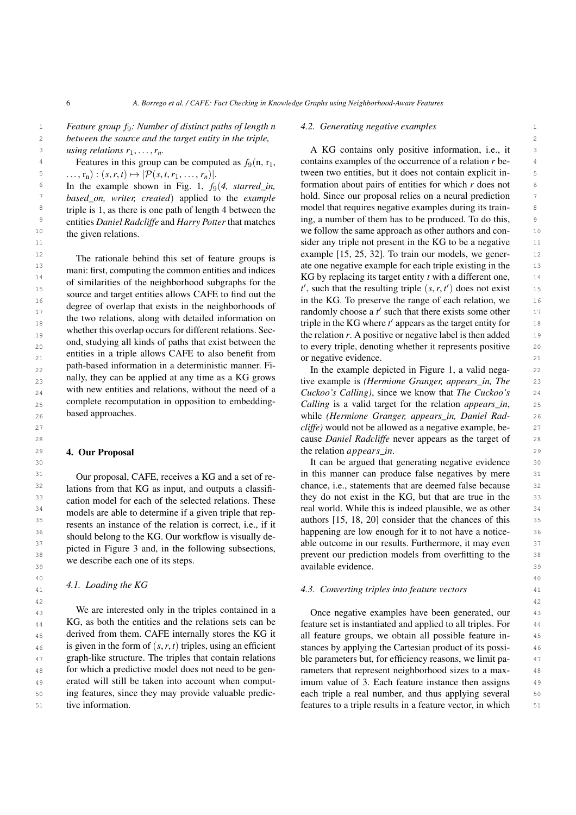1 1 *Feature group f*9*: Number of distinct paths of length n* 2 2 *between the source and the target entity in the triple, using relations*  $r_1, \ldots, r_n$ .

Features in this group can be computed as  $f_9(n, r_1)$ , ...,  $r_n$ ) :  $(s, r, t) \mapsto |\mathcal{P}(s, t, r_1, \ldots, r_n)|$ .

In the example shown in Fig. [1,](#page-1-0)  $f_9(4, \text{starred\_in},$ *based\_on, writer, created*) applied to the *example* triple is 1, as there is one path of length 4 between the entities *Daniel Radcliffe* and *Harry Potter* that matches the given relations.

13 mai: first commuting the common original property of the common original property of the common original property of the common original property of the common original property of the common original property of the co 14 14 14 14 15 milesting of the michael entity *the michael subgraphs* for the KG by replacing its target entity *t* with a different one, 14 or simularities or the neignborhood subgraphs for the  $t'$ , such that the resulting triple  $(s, r, t')$  does not exist  $t'$ 16 16 in the KG. To preserve the range of each relation, we degree of overlap that exists in the neighborhoods of<br>
<sup>17</sup> the two galatings along with data illed information on **a** randomly choose a *t'* such that there exists some other <sup>17</sup> <sup>18</sup> 18 the two relations, along with detailed information on triple in the KG where *t'* appears as the target entity for <sup>18</sup> <sup>19</sup> whener this overlap occurs for unterent relations. Sec-<br>the relation *r*. A positive or negative label is then added 20 20 to every triple, denoting whether it represents positive entities in a triple allows CAFE to also benefit from  $\frac{1}{21}$  or negative evidence.  $_{22}$  path-based information in a deterministic manner. Fi-<br>In the example depicted in Figure [1,](#page-1-0) a valid nega-<br> $_{22}$ 23 **hally, they can be applied at any time as a KG grows** tive example is *(Hermione Granger, appears\_in, The* 23 <sup>24</sup> with new entities and relations, without the need of a *Cuckoo's Calling*), since we know that *The Cuckoo's* <sup>24</sup> <sub>25</sub> complete recomputation in opposition to embedding- Calling is a valid target for the relation *appears\_in*, 25 The rationale behind this set of feature groups is mani: first, computing the common entities and indices of similarities of the neighborhood subgraphs for the source and target entities allows CAFE to find out the degree of overlap that exists in the neighborhoods of the two relations, along with detailed information on whether this overlap occurs for different relations. Second, studying all kinds of paths that exist between the path-based information in a deterministic manner. Finally, they can be applied at any time as a KG grows with new entities and relations, without the need of a complete recomputation in opposition to embeddingbased approaches.

# <span id="page-5-0"></span>4. Our Proposal

Our proposal, CAFE, receives a KG and a set of relations from that KG as input, and outputs a classification model for each of the selected relations. These models are able to determine if a given triple that represents an instance of the relation is correct, i.e., if it should belong to the KG. Our workflow is visually depicted in Figure [3](#page-6-1) and, in the following subsections, we describe each one of its steps.

#### $40 \times 40$ *4.1. Loading the KG*

<sup>43</sup> We are interested only in the triples contained in a Conce negative examples have been generated, our <sup>43</sup> 44 KG, as both the entities and the relations sets can be feature set is instantiated and applied to all triples. For 44 <sup>45</sup> derived from them. CAFE internally stores the KG it all feature groups, we obtain all possible feature in- $\frac{46}{46}$  is given in the form of  $(s, r, t)$  triples, using an efficient stances by applying the Cartesian product of its possi-<sup>47</sup> graph-like structure. The triples that contain relations ble parameters but, for efficiency reasons, we limit pa 48 for which a predictive model does not need to be gen-<br>rameters that represent neighborhood sizes to a max-<br>48 49 49 erated will still be taken into account when comput-50 50 ing features, since they may provide valuable predic-51 51 features to a triple results in a feature vector, in whichWe are interested only in the triples contained in a KG, as both the entities and the relations sets can be tive information.

#### *4.2. Generating negative examples*

3 using relations  $r_1, \ldots, r_n$ . A KG contains only positive information, i.e., it 4 Features in this group can be computed as  $f_9(n, r_1)$ , contains examples of the occurrence of a relation *r* be- $\mathcal{F}$   $\ldots$ ,  $\mathbf{r}_n$   $\colon (s, r, t) \mapsto |\mathcal{P}(s, t, r_1, \ldots, r_n)|$ . tween two entities, but it does not contain explicit in- $\epsilon$  In the example shown in Fig. 1,  $f_9(4, \text{starred } in)$  formation about pairs of entities for which *r* does not *n hased on, writer, created*) applied to the *example* hold. Since our proposal relies on a neural prediction <sup>8</sup> triple is 1, as there is one path of length 4 between the model that requires negative examples during its train-9 9 ing, a number of them has to be produced. To do this, <sup>10</sup> the given relations  $\frac{10}{10}$  we follow the same approach as other authors and con-11 11 sider any triple not present in the KG to be a negative <sup>12</sup> The rationale behind this set of feature groups is example [\[15,](#page-12-9) [25](#page-12-17), [32\]](#page-12-26). To train our models, we gener-<sup>12</sup> or negative evidence.

 26 while *(Hermione Granger, appears\_in, Daniel Rad-* 27 *cliffe)* would not be allowed as a negative example, be- 28 cause *Daniel Radcliffe* never appears as the target of **4. Our Proposal** 29 **1. Our Proposal** 29

30 30 It can be argued that generating negative evidence <sup>31</sup> Our proposal CAFF receives a KG and a set of re- in this manner can produce false negatives by mere <sup>31</sup> <sup>32</sup> ations from that KG as input and outputs a classificance, i.e., statements that are deemed false because <sup>32</sup> <sup>33</sup> cation model for each of the selected relations. These they do not exist in the KG, but that are true in the 34 34 real world. While this is indeed plausible, we as other  $\frac{35}{25}$  authors  $\frac{35}{25}$  authors  $\frac{35}{25}$  authors  $\frac{35}{25}$  authors  $\frac{35}{25}$  authors  $\frac{35}{25}$  authors  $\frac{35}{25}$  $\frac{36}{20}$  should below to the YG Our workflow is visually de happening are low enough for it to not have a notice- $37$  able outcome in our results. Furthermore, it may even  $37$ <sup>38</sup> <sup>procedure</sup> and the state of the state of the state of the state of the state of the state of the state of the state of the state of the state of the state of the state of the state of the state of the state of the st  $39 \text{ available evidence.}$  39

## 41 41 *4.3. Converting triples into feature vectors*

 $42$ 

all feature groups, we obtain all possible feature instances by applying the Cartesian product of its possible parameters but, for efficiency reasons, we limit parameters that represent neighborhood sizes to a maximum value of 3. Each feature instance then assigns each triple a real number, and thus applying several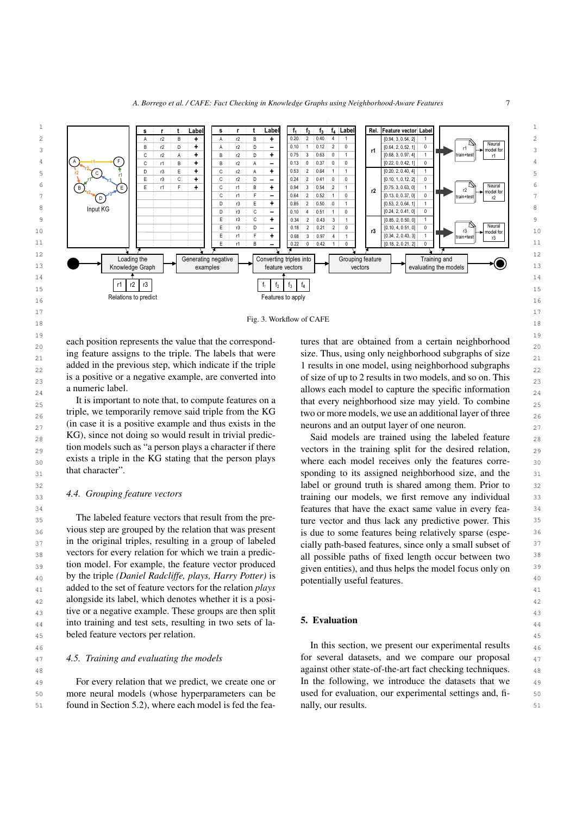

18 **Fig. 3. Workflow of CAFE** 18

 $19$  and  $19$  and  $19$  and  $19$  and  $19$  and  $19$  and  $19$  and  $19$  and  $19$  and  $19$ each position represents the value that the correspond-<br> $_{20}$  tures that are obtained from a certain neighborhood  $\frac{21}{21}$  ing feature assigns to the triple. The labels that were size. Thus, using only neighborhood subgraphs of size  $\frac{21}{21}$ added in the previous step, which indicate if the triple 1 results in one model, using neighborhood subgraphs  $_{22}$ is a positive or a negative example, are converted into of size of up to 2 results in two models, and so on. This a numeric label.  $\frac{24}{24}$  a numeric label. ing feature assigns to the triple. The labels that were added in the previous step, which indicate if the triple a numeric label.

25 It is important to note that, to compute features on a that every neighborhood size may yield. To combine  $\frac{25}{25}$  $_{26}$  triple, we temporarily remove said triple from the KG two or more models, we use an additional layer of three  $_{26}$ 27 (in case it is a positive example and thus exists in the neurons and an output layer of one neuron.  $_{28}$  KG), since not doing so would result in trivial predic-<br>Said models are trained using the labeled feature  $_{29}$  to models such as "a person plays a character if there vectors in the training split for the desired relation,  $_{29}$  $_{30}$  exists a triple in the KG stating that the person plays where each model receives only the features corre-It is important to note that, to compute features on a triple, we temporarily remove said triple from the KG (in case it is a positive example and thus exists in the KG), since not doing so would result in trivial prediction models such as "a person plays a character if there exists a triple in the KG stating that the person plays that character".

# *4.4. Grouping feature vectors*

<sup>35</sup> 1 Ine labeled feature vectors that result from the pre-<br>ture vector and thus lack any predictive power. This <sup>36</sup> vious step are grouped by the relation that was present is due to some features being relatively sparse (espe-<sup>37</sup> in the original triples, resulting in a group of labeled cially path-based features, since only a small subset of <sup>37</sup> 38 vectors for every relation for which we train a predic-<br>38 vectors for every relation for which we train a predic- $\frac{39}{2}$  tion model. For example, the feature vector produced  $\frac{39}{2}$  is the feature vector produced  $\frac{39}{2}$ 40 40 by the triple *(Daniel Radcliffe, plays, Harry Potter)* is <sup>41</sup> added to the set of feature vectors for the relation *plays* potentially asset required. 42 42 alongside its label, which denotes whether it is a posi-43 43 tive or a negative example. These groups are then split  $_{44}$  into training and test sets, resulting in two sets of la-<br> $_{44}$ 45 45 beled feature vectors per relation. The labeled feature vectors that result from the previous step are grouped by the relation that was present

#### *4.5. Training and evaluating the models*

49 For every relation that we predict, we create one or In the following, we introduce the datasets that we 49 50 50 more neural models (whose hyperparameters can be 51 51 found in Section [5.2\)](#page-7-0), where each model is fed the fea-For every relation that we predict, we create one or

<span id="page-6-1"></span>tures that are obtained from a certain neighborhood of size of up to 2 results in two models, and so on. This

 $31$  that character<sup> $\alpha$ </sup>. The sponding to its assigned neighborhood size, and the  $31$ 32 32 label or ground truth is shared among them. Prior to  $\frac{44}{33}$  a. 4.4. Grouping jeature vectors the set of the straining our models, we first remove any individual  $\frac{33}{2}$ 34 34 features that have the exact same value in every feacially path-based features, since only a small subset of all possible paths of fixed length occur between two given entities), and thus helps the model focus only on potentially useful features.

# <span id="page-6-0"></span>5. Evaluation

46 46 In this section, we present our experimental results 47 4.5. Training and evaluating the models for several datasets, and we compare our proposal 47 48 **against other state-of-the-art fact checking techniques.** 48 used for evaluation, our experimental settings and, finally, our results.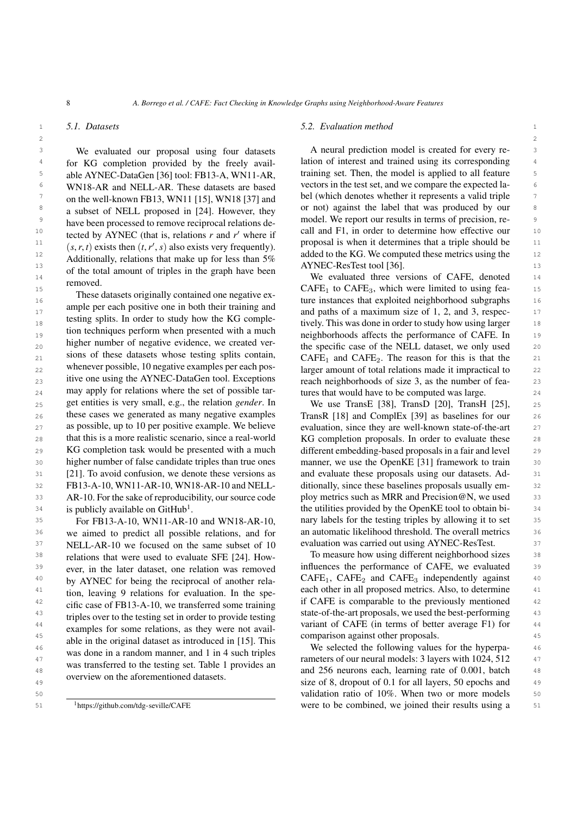## *5.1. Datasets*

<sup>3</sup> We evaluated our proposal using four datasets A neural prediction model is created for every re-<sup>4</sup> for KG completion provided by the freely avail-<br>ation of interest and trained using its corresponding <sup>4</sup> <sup>5</sup> able AYNEC-DataGen [36] tool: FB13-A, WN11-AR, training set. Then, the model is applied to all feature 5 <sup>6</sup> WN18-AR and NELL-AR. These datasets are based vectors in the test set, and we compare the expected la-7 on the well-known FB13, WN11 [15] WN18 [37] and bel (which denotes whether it represents a valid triple 7 <sup>8</sup> a subset of NEI I proposed in [24] However they or not) against the label that was produced by our <sup>9</sup> bave been processed to remove reciprocal relations de model. We report our results in terms of precision, re-10 toted by ANEC (that is relations x and x' where if call and F1, in order to determine how effective our 10  $\mu$  11 (e. r. t) exists then  $(t, v', \alpha)$  is exists very frequently. proposal is when it determines that a triple should be 11  $\mu$  12 added to the KG. We computed these metrics using the  $\mu$  added to the KG. We computed these metrics using the 13 13 AYNEC-ResTest tool [\[36](#page-12-30)]. 14 14 We evaluated three versions of CAFE, denoted We evaluated our proposal using four datasets able AYNEC-DataGen [\[36\]](#page-12-30) tool: FB13-A, WN11-AR, WN18-AR and NELL-AR. These datasets are based on the well-known FB13, WN11 [\[15](#page-12-9)], WN18 [\[37\]](#page-12-31) and a subset of NELL proposed in [\[24](#page-12-16)]. However, they have been processed to remove reciprocal relations detected by AYNEC (that is, relations  $r$  and  $r'$  where if  $(s, r, t)$  exists then  $(t, r', s)$  also exists very frequently). Additionally, relations that make up for less than 5% of the total amount of triples in the graph have been removed.

16 16 ture instances that exploited neighborhood subgraphs <sup>17</sup> and paths of a maximum size of 1, 2, and 3, respec-<sup>17</sup> 18 18 tively. This was done in order to study how using larger 19 19 neighborhoods affects the performance of CAFE. In  $_{20}$  and the specific case of the NELL dataset, we only used  $_{20}$  $_{21}$  sions of these datasets whose testing splits contain,  $CAFE_1$  and  $CAFE_2$ . The reason for this is that the  $_{21}$ 22 Europe whenever possible, 10 negative examples per each pos-<br> $22$  arger amount of total relations made it impractical to 23 itive one using the AYNEC-DataGen tool. Exceptions reach neighborhoods of size 3, as the number of fea- $_{24}$  may apply for relations where the set of possible tar-<br>tures that would have to be computed was large. 25 get entities is very small, e.g., the relation *gender*. In We use TransE [38], TransD [20], TransH [25], 25 26 these cases we generated as many negative examples TransR [18] and ComplEx [39] as baselines for our 26 27 as possible, up to 10 per positive example. We believe evaluation, since they are well-known state-of-the-art 27 28 that this is a more realistic scenario, since a real-world KG completion proposals. In order to evaluate these 28 29 KG completion task would be presented with a much different embedding-based proposals in a fair and level 29 30 higher number of false candidate triples than true ones manner, we use the OpenKE [31] framework to train 30 31 [\[21\]](#page-12-13). To avoid confusion, we denote these versions as and evaluate these proposals using our datasets. Ad-<br>31 32 32 FB13-A-10, WN11-AR-10, WN18-AR-10 and NELL-33 AR-10. For the sake of reproducibility, our source code ploy metrics such as MRR and Precision@N, we used 33  $34$  is publicly available on GitHub<sup>1</sup>.  $34$  the utilities provided by the OpenKE tool to obtain bi-These datasets originally contained one negative example per each positive one in both their training and testing splits. In order to study how the KG completion techniques perform when presented with a much higher number of negative evidence, we created versions of these datasets whose testing splits contain, whenever possible, 10 negative examples per each positive one using the AYNEC-DataGen tool. Exceptions AR-10. For the sake of reproducibility, our source code is publicly available on  $G$ itHub<sup>[1](#page-7-1)</sup>.

<sup>36</sup> we aimed to predict all possible relations, and for an automatic likelihood threshold. The overall metrics <sup>36</sup> <sup>37</sup> NELL-AR-10 we focused on the same subset of 10 evaluation was carried out using AYNEC-ResTest. <sup>38</sup> relations that were used to evaluate SFE [24] How- To measure how using different neighborhood sizes <sup>38</sup> <sup>39</sup> ever in the later dataset one relation was removed influences the performance of CAFE, we evaluated <sup>39</sup> <sup>40</sup> by AYNEC for being the reciprocal of another rela-<br>CAFE<sub>1</sub>, CAFE<sub>2</sub> and CAFE<sub>3</sub> independently against <sup>41</sup> tion leaving 9 relations for evaluation In the spe- each other in all proposed metrics. Also, to determine <sup>41</sup> <sup>42</sup> cific case of EB13-A-10, we transferred some training if CAFE is comparable to the previously mentioned <sup>42</sup> <sup>43</sup> triples over to the testing set in order to provide testing state-of-the-art proposals, we used the best-performing <sup>43</sup> <sup>44</sup> examples for some relations as they were not avail variant of CAFE (in terms of better average F1) for <sup>44</sup> 45 comparison against other proposals. <sup>46</sup> and the selected the following values for the hyperpa-<sup>46</sup> <sup>47</sup> was some in a ramon manner, and T<sub>1</sub> H<sub>3</sub> such trippes rameters of our neural models: 3 layers with 1024, 512 <sup>47</sup> <sup>48</sup> was danseled to the testing set. Table 1 provides and 256 neurons each, learning rate of 0.001, batch <sup>48</sup> For FB13-A-10, WN11-AR-10 and WN18-AR-10, we aimed to predict all possible relations, and for NELL-AR-10 we focused on the same subset of 10 relations that were used to evaluate SFE [\[24\]](#page-12-16). However, in the later dataset, one relation was removed by AYNEC for being the reciprocal of another relation, leaving 9 relations for evaluation. In the specific case of FB13-A-10, we transferred some training triples over to the testing set in order to provide testing examples for some relations, as they were not available in the original dataset as introduced in [\[15](#page-12-9)]. This was done in a random manner, and 1 in 4 such triples was transferred to the testing set. Table [1](#page-8-0) provides an overview on the aforementioned datasets.

## 1 1 *5.2. Evaluation method*

<span id="page-7-0"></span>lation of interest and trained using its corresponding

15 15 CAFE<sup>1</sup> to CAFE3, which were limited to using features that would have to be computed was large.

<sup>35</sup> For FB13-A-10, WN11-AR-10 and WN18-AR-10, nary labels for the testing triples by allowing it to set <sup>35</sup> We use TransE [\[38\]](#page-13-0), TransD [\[20](#page-12-12)], TransH [\[25\]](#page-12-17), TransR [\[18\]](#page-12-10) and ComplEx [\[39\]](#page-13-1) as baselines for our evaluation, since they are well-known state-of-the-art KG completion proposals. In order to evaluate these different embedding-based proposals in a fair and level manner, we use the OpenKE [\[31](#page-12-24)] framework to train and evaluate these proposals using our datasets. Additionally, since these baselines proposals usually em-

<sup>49</sup> UVETVIEW ON the afformation of datasets. Size of 8, dropout of 0.1 for all layers, 50 epochs and <sup>49</sup> 50 50 validation ratio of 10%. When two or more models <sup>1</sup>https://github.com/tdg-seville/CAFE were to be combined, we joined their results using a 51

<span id="page-7-1"></span><sup>1</sup>https://github.[com/tdg-seville/CAFE](https://github.com/tdg-seville/CAFE)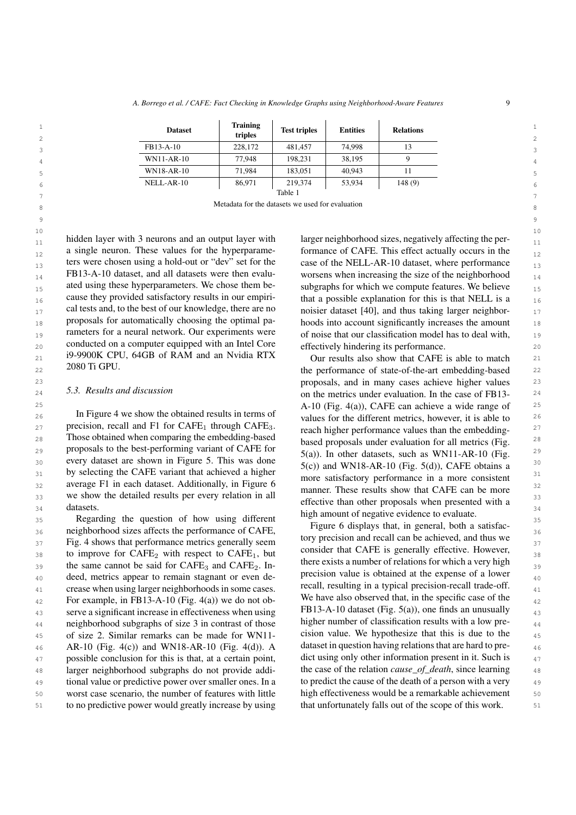| <b>Dataset</b> | <b>Training</b><br>triples | <b>Test triples</b> | <b>Entities</b> | <b>Relations</b> |
|----------------|----------------------------|---------------------|-----------------|------------------|
| FB13-A-10      | 228,172                    | 481.457             | 74.998          | 13               |
| WN11-AR-10     | 77.948                     | 198.231             | 38,195          |                  |
| WN18-AR-10     | 71.984                     | 183.051             | 40,943          | 11               |
| NELL-AR-10     | 86,971                     | 219,374             | 53,934          | 148(9)           |
|                |                            | Table 1             |                 |                  |

8 8 Metadata for the datasets we used for evaluation e de la constantidad de la constantidad de la constantidad de la constantidad de la constantidad de la constan<br>De la constantidad de la constantidad de la constantidad de la constantidad de la constantidad de la constanti

 $10$   $10$  $_{11}$  hidden layer with 3 neurons and an output layer with larger neighborhood sizes, negatively affecting the per- $\mu_{12}$  a single neuron. These values for the hyperparame-<br>formance of CAFE. This effect actually occurs in the ters were chosen using a hold-out or "dev" set for the case of the NELL-AR-10 dataset, where performance  $_{13}$  $14$  FB13-A-10 dataset, and all datasets were then evalu-<br>worsens when increasing the size of the neighborhood  $_{15}$  ated using these hyperparameters. We chose them be-<br> $_{15}$  subgraphs for which we compute features. We believe <sub>16</sub> cause they provided satisfactory results in our empiri-<br>that a possible explanation for this is that NELL is a  $_{17}$  cal tests and, to the best of our knowledge, there are no noisier dataset [\[40\]](#page-13-2), and thus taking larger neighbor- $_{18}$  proposals for automatically choosing the optimal pa-<br>hoods into account significantly increases the amount  $_{19}$  rameters for a neural network. Our experiments were of noise that our classification model has to deal with,  $_{19}$  $_{20}$  conducted on a computer equipped with an Intel Core effectively hindering its performance.  $_{21}$  19-9900K CPU, 64GB of RAM and an Nyidia RIX Our results also show that CAFE is able to match  $_{21}$ a single neuron. These values for the hyperparameters were chosen using a hold-out or "dev" set for the FB13-A-10 dataset, and all datasets were then evaluated using these hyperparameters. We chose them because they provided satisfactory results in our empirical tests and, to the best of our knowledge, there are no proposals for automatically choosing the optimal parameters for a neural network. Our experiments were i9-9900K CPU, 64GB of RAM and an Nvidia RTX 2080 Ti GPU.

#### *5.3. Results and discussion*

26 In Figure [4](#page-9-1) we show the obtained results in terms of  $\frac{1}{26}$  results for the different metrics however it is able to 26  $_{27}$  precision, recall and F1 for CAFE<sub>1</sub> through CAFE<sub>3</sub>.  $_{27}$  reach higher performance values than the embedding.  $_{27}$ 28 Those obtained when comparing the embedding-based based represents when we want to the diffusion for all matrics (Fig. 28) proposals to the best-performing variant of CAFE for  $\frac{29}{2}$  and  $\frac{29}{2}$  and  $\frac{29}{2}$  $\frac{30}{20}$  every dataset are shown in Figure [5.](#page-10-0) This was done  $\frac{5(1)}{20}$  and WN10 AD 10 (Ei  $\frac{5(1)}{20}$  CAEF this s  $31$  by selecting the CAFE variant that achieved a higher  $\frac{3}{2}$  (b),  $\frac{3}{2}$  and  $\frac{3}{2}$  (b),  $\frac{3}{2}$  and  $\frac{3}{2}$ 32 average F1 in each dataset. Additionally, in Figure [6](#page-11-5) and the same way to the detector of FIF and the Consistent 33 we show the detailed results per every relation in all the contract results show that CAFE can be not datasets.

35 Regarding the question of how using different in the state of the state. 36 **neighborhood sizes affects the performance of CAFE, here here o here here here here here here here here here here here here here here here here here here here here here**  $37$  Fig. [4](#page-9-1) shows that performance metrics generally seem tory precision and recall can be achieved, and thus we  $37$  $38$  to improve for CAFE<sub>2</sub> with respect to CAFE<sub>1</sub>, but consider that CAFE is generally enective. However,  $38$  $39$  the same cannot be said for CAFE<sub>3</sub> and CAFE<sub>2</sub>. In-<br> $39$  the same cannot be said for CAFE<sub>3</sub> and CAFE<sub>2</sub>. In-<sub>40</sub> deed, metrics appear to remain stagnant or even de-<br><sup>40</sup> appear to remain stagnant or even de-<br><sup>20</sup> <sup>41</sup> crease when using larger neighborhoods in some cases. The recall, resulting in a typical precision-recall trade-off. 42 For example, in FB13-A-10 (Fig. [4\(a\)\)](#page-9-2) we do not ob-<br>We have also observed that, in the specific case of the  $\frac{42}{2}$ <sup>43</sup> serve a significant increase in effectiveness when using  $\text{FB13-A-10}$  dataset (Fig. 5(a)), one finds an unusually <sup>44</sup> heighborhood subgraphs of size 3 in contrast of those higher number of classification results with a low pre-45 of size 2. Similar remarks can be made for WN11- cision value. We hypothesize that this is due to the  $_{45}$ 46 AR-10 (Fig. [4\(c\)\)](#page-9-3) and WN18-AR-10 (Fig. [4\(d\)\)](#page-9-4). A dataset in question having relations that are hard to pre-47 possible conclusion for this is that, at a certain point, dict using only other information present in it. Such is 48 larger neighborhood subgraphs do not provide addi-<br>the case of the relation *cause\_of\_death*, since learning 48 49 tional value or predictive power over smaller ones. In a to predict the cause of the death of a person with a very  $\frac{49}{2}$ 50 50 high effectiveness would be a remarkable achievement 51 to no predictive power would greatly increase by using that unfortunately falls out of the scope of this work. 51 possible conclusion for this is that, at a certain point, worst case scenario, the number of features with little

<span id="page-8-0"></span>larger neighborhood sizes, negatively affecting the pereffectively hindering its performance.

22 2080 11 GPU. The performance of state-of-the-art embedding-based 22 23 23 proposals, and in many cases achieve higher values 24 5.3. Results and discussion  $24 \text{ cm}$  on the metrics under evaluation. In the case of FB13-25 25 A-10 (Fig. [4\(a\)\)](#page-9-2), CAFE can achieve a wide range of 34 datasets.<br> **high amount of negative evidence to evaluate.** values for the different metrics, however, it is able to reach higher performance values than the embeddingbased proposals under evaluation for all metrics (Fig. [5\(a\)\)](#page-10-1). In other datasets, such as WN11-AR-10 (Fig.  $5(c)$ ) and WN18-AR-10 (Fig.  $5(d)$ ), CAFE obtains a more satisfactory performance in a more consistent manner. These results show that CAFE can be more effective than other proposals when presented with a

> Figure [6](#page-11-5) displays that, in general, both a satisfactory precision and recall can be achieved, and thus we consider that CAFE is generally effective. However, there exists a number of relations for which a very high precision value is obtained at the expense of a lower recall, resulting in a typical precision-recall trade-off. We have also observed that, in the specific case of the FB13-A-10 dataset (Fig. [5\(a\)\)](#page-10-1), one finds an unusually higher number of classification results with a low precision value. We hypothesize that this is due to the dataset in question having relations that are hard to prethe case of the relation *cause\_of\_death*, since learning to predict the cause of the death of a person with a very that unfortunately falls out of the scope of this work.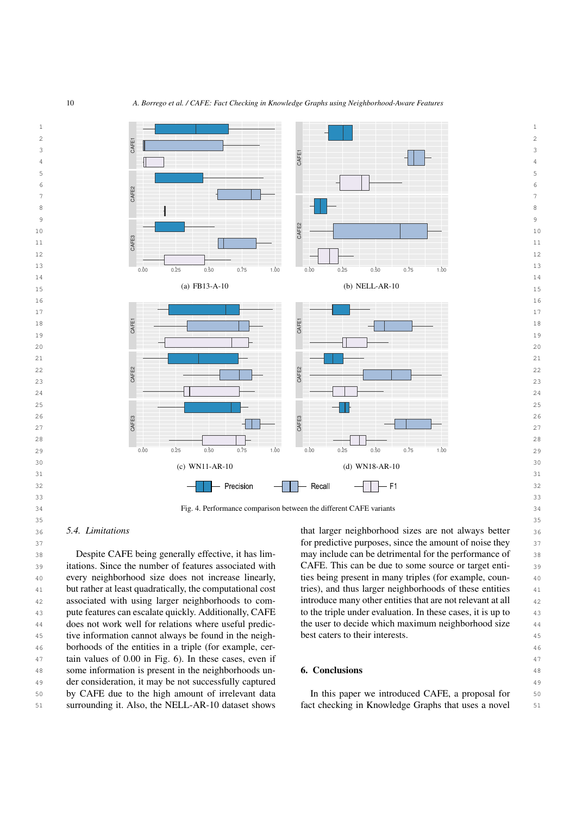<span id="page-9-3"></span><span id="page-9-2"></span>

## <span id="page-9-1"></span>*5.4. Limitations*

38 Despite CAFE being generally effective, it has lim- may include can be detrimental for the performance of 38 39 itations. Since the number of features associated with CAFE. This can be due to some source or target enti-40 every neighborhood size does not increase linearly, ties being present in many triples (for example, coun-<sup>41</sup> but rather at least quadratically, the computational cost tries), and thus larger neighborhoods of these entities <sup>41</sup> 42 42 associated with using larger neighborhoods to com-<sup>43</sup> pute features can escalate quickly. Additionally, CAFE to the triple under evaluation. In these cases, it is up to does not work well for relations where useful predic-<br>the user to decide which maximum neighborhood size  $\frac{44}{100}$ 45 45 tive information cannot always be found in the neigh-46 46 borhoods of the entities in a triple (for example, cer-47 47 tain values of 0.00 in Fig. [6\)](#page-11-5). In these cases, even if 48 some information is present in the neighborhoods un-<br>48 some information is present in the neighborhoods un-<br>**6. Conclusions** 49 49 der consideration, it may be not successfully captured 50 50 by CAFE due to the high amount of irrelevant data Despite CAFE being generally effective, it has limdoes not work well for relations where useful predicsurrounding it. Also, the NELL-AR-10 dataset shows

36 5.4. Limitations **5.4.** Limitations **1996 1997 1998 1997 1998 1999 1999 1999 1999 1999 1999 1999 1999 1999 1999 1999 1999 1999 1999 1999 1999 1999 1999 1999 1999 1999** 37 37 for predictive purposes, since the amount of noise they CAFE. This can be due to some source or target entities being present in many triples (for example, countries), and thus larger neighborhoods of these entities introduce many other entities that are not relevant at all to the triple under evaluation. In these cases, it is up to best caters to their interests.

# <span id="page-9-4"></span><span id="page-9-0"></span>6. Conclusions

In this paper we introduced CAFE, a proposal for fact checking in Knowledge Graphs that uses a novel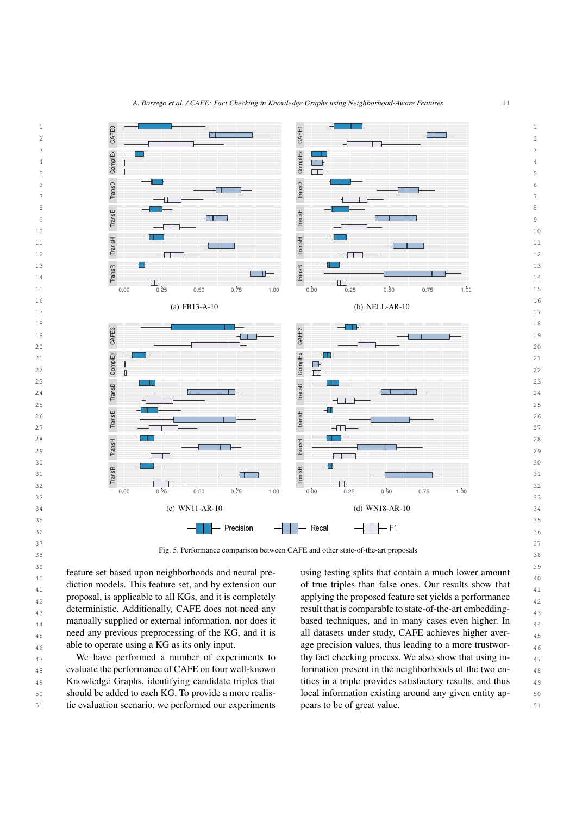<span id="page-10-2"></span><span id="page-10-1"></span>

38 38 Fig. 5. Performance comparison between CAFE and other state-of-the-art proposals

 $39$  $\frac{3}{40}$  feature set based upon neighborhoods and neural pre-<br> $\frac{1}{40}$  using testing splits that contain a much lower amount diction models. This feature set, and by extension our of true triples than false ones. Our results show that proposal, is applicable to all KGs, and it is completely applying the proposed feature set yields a performance  $\frac{1}{42}$ deterministic. Additionally, CAFE does not need any result that is comparable to state-of-the-art embedding- $_{44}$  manually supplied or external information, nor does it based techniques, and in many cases even higher. In  $_{44}$  $_{45}$  need any previous preprocessing of the KG, and it is all datasets under study, CAFE achieves higher aver-46 able to operate using a KG as its only input. age precision values, thus leading to a more trustworproposal, is applicable to all KGs, and it is completely deterministic. Additionally, CAFE does not need any able to operate using a KG as its only input.

 $\frac{47}{47}$  We have performed a number of experiments to thy fact checking process. We also show that using in-<sup>48</sup> evaluate the performance of CAFE on four well-known formation present in the neighborhoods of the two en-49 Knowledge Graphs, identifying candidate triples that tities in a triple provides satisfactory results, and thus 49 50 should be added to each KG. To provide a more realis- local information existing around any given entity ap-We have performed a number of experiments to tic evaluation scenario, we performed our experiments

<span id="page-10-3"></span><span id="page-10-0"></span>using testing splits that contain a much lower amount of true triples than false ones. Our results show that based techniques, and in many cases even higher. In all datasets under study, CAFE achieves higher averformation present in the neighborhoods of the two entities in a triple provides satisfactory results, and thus local information existing around any given entity appears to be of great value.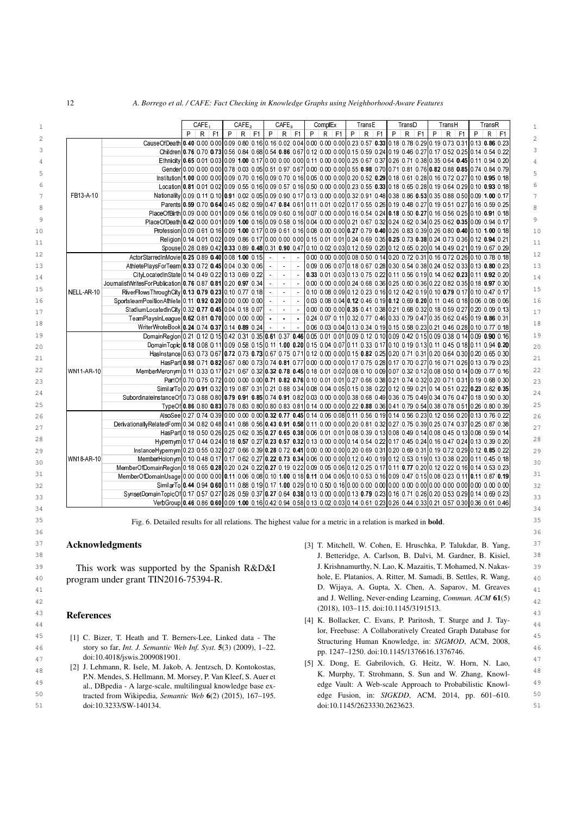|            |                                                                                                                                                                                        | CAFE <sub>1</sub> |  | CAFE <sub>2</sub> |           | CAFE <sub>3</sub> |                | ComplEx  |                                                                            | TransE |          |   | TransD |          | TransH   |  | TransR |          |
|------------|----------------------------------------------------------------------------------------------------------------------------------------------------------------------------------------|-------------------|--|-------------------|-----------|-------------------|----------------|----------|----------------------------------------------------------------------------|--------|----------|---|--------|----------|----------|--|--------|----------|
|            |                                                                                                                                                                                        | $P$ R F1          |  | $P$ R F1          |           | $P$ R F1          |                | $P$ R F1 |                                                                            |        | $P$ R F1 | P |        | $R$   F1 | $P$ R F1 |  |        | $P$ R F1 |
|            | Cause Of Death   0.40   0.00   0.00   0.09   0.80   0.16   0.16   0.02   0.04   0.00   0.00   0.00   0.23   0.57   0.33   0.18   0.78   0.29   0.19   0.73   0.31   0.13   0.86   0.23 |                   |  |                   |           |                   |                |          |                                                                            |        |          |   |        |          |          |  |        |          |
|            | Children 0.76 0.70 0.73 0.56 0.84 0.68 0.54 0.86 0.67 0.12 0.00 0.00 0.15 0.59 0.24 0.19 0.46 0.27 0.17 0.52 0.25 0.14 0.54 0.22                                                       |                   |  |                   |           |                   |                |          |                                                                            |        |          |   |        |          |          |  |        |          |
|            |                                                                                                                                                                                        |                   |  |                   |           |                   |                |          |                                                                            |        |          |   |        |          |          |  |        |          |
|            | Gender 0.00 0.00 0.00 0.00 0.78 0.03 0.05 0.51 0.97 0.67 0.00 0.00 0.00 0.55 0.98 0.70 0.71 0.81 0.76 0.82 0.88 0.85 0.74 0.84 0.79                                                    |                   |  |                   |           |                   |                |          |                                                                            |        |          |   |        |          |          |  |        |          |
| FB13-A-10  | institution 1.00 0.00 0.00 0.09 0.70 0.16 0.09 0.70 0.16 0.05 0.00 0.00 0.00 0.22 0.29 0.18 0.61 0.28 0.16 0.72 0.27 0.10 0.95 0.18                                                    |                   |  |                   |           |                   |                |          |                                                                            |        |          |   |        |          |          |  |        |          |
|            | Location 0.81 0.01 0.02 0.09 0.55 0.16 0.09 0.57 0.16 0.50 0.00 0.00 0.00 0.23 0.55 0.33 0.18 0.65 0.28 0.19 0.64 0.29 0.10 0.93 0.18                                                  |                   |  |                   |           |                   |                |          |                                                                            |        |          |   |        |          |          |  |        |          |
|            | Nationality 0.09 0.11 0.10 0.91 0.02 0.05 0.09 0.90 0.17 0.13 0.00 0.00 0.32 0.91 0.48 0.38 0.86 0.53 0.35 0.85 0.86 0.50 0.09 1.00 0.17                                               |                   |  |                   |           |                   |                |          |                                                                            |        |          |   |        |          |          |  |        |          |
|            | Parents 0.59 0.70 0.64 0.45 0.82 0.59 0.47 0.84 0.61 0.11 0.01 0.02 0.17 0.55 0.26 0.19 0.48 0.27 0.19 0.51 0.27 0.16 0.59 0.25                                                        |                   |  |                   |           |                   |                |          |                                                                            |        |          |   |        |          |          |  |        |          |
|            | PlaceOfBirth 0.09 0.00 0.01 0.09 0.56 0.16 0.09 0.60 0.16 0.07 0.00 0.00 0.16 0.54 0.24 0.18 0.50 0.27 0.16 0.56 0.25 0.10 0.91 0.18                                                   |                   |  |                   |           |                   |                |          |                                                                            |        |          |   |        |          |          |  |        |          |
|            | PlaceOfDeath 0.42 0.00 0.01 0.09 1.00 0.16 0.09 0.58 0.16 0.04 0.00 0.00 0.21 0.67 0.32 0.24 0.62 0.34 0.25 0.62 0.35 0.09 0.94 0.17                                                   |                   |  |                   |           |                   |                |          |                                                                            |        |          |   |        |          |          |  |        |          |
|            | Profession 0.09 0.61 0.16 0.09 1.00 0.17 0.09 0.61 0.16 0.08 0.00 0.07 0.79 0.40 0.26 0.83 0.39 0.26 0.80 0.40 0.10 1.00 0.18                                                          |                   |  |                   |           |                   |                |          |                                                                            |        |          |   |        |          |          |  |        |          |
|            | Religion 0.14 0.01 0.02 0.09 0.86 0.17 0.00 0.00 0.00 0.15 0.01 0.01 0.24 0.69 0.35 0.25 0.73 0.38 0.24 0.73 0.36 0.12 0.94 0.21                                                       |                   |  |                   |           |                   |                |          |                                                                            |        |          |   |        |          |          |  |        |          |
|            | Spouse 0.28 0.89 0.42 0.33 0.89 0.48 0.31 0.90 0.47 0.10 0.02 0.03 0.12 0.59 0.20 0.12 0.65 0.20 0.14 0.49 0.21 0.19 0.67 0.29                                                         |                   |  |                   |           |                   |                |          |                                                                            |        |          |   |        |          |          |  |        |          |
|            | ActorStarredInMovie 0.25 0.89 0.40 0.08 1.00 0.15                                                                                                                                      |                   |  |                   | $\sim$    | $\sim$            | $\sim$         |          | 0.00 0.00 0.00 0.08 0.50 0.14 0.20 0.72 0.31 0.16 0.72 0.26 0.10 0.78 0.18 |        |          |   |        |          |          |  |        |          |
|            | AthletePlaysForTeam 0.33 0.72 0.45 0.04 0.30 0.06                                                                                                                                      |                   |  |                   | $\sim$    | $\sim$            | $\sim$         |          | 0.09 0.06 0.07 0.18 0.67 0.28 0.30 0.54 0.38 0.24 0.52 0.33 0.13 0.80 0.23 |        |          |   |        |          |          |  |        |          |
|            | CityLocatedInState 0.14 0.49 0.22 0.13 0.69 0.22                                                                                                                                       |                   |  |                   | $\sim$    | $\sim 10$         |                |          | 0.33 0.01 0.03 0.13 0.75 0.22 0.11 0.56 0.19 0.14 0.62 0.23 0.11 0.92 0.20 |        |          |   |        |          |          |  |        |          |
|            | JournalistWritesForPublication 0.76 0.87 0.81 0.20 0.97 0.34                                                                                                                           |                   |  |                   |           | $\sim$            |                |          | 0.00 0.00 0.00 0.24 0.68 0.36 0.25 0.60 0.36 0.22 0.82 0.35 0.18 0.97 0.30 |        |          |   |        |          |          |  |        |          |
| NELL-AR-10 | RiverFlowsThroughCity 0.13 0.79 0.23 0.10 0.77 0.18                                                                                                                                    |                   |  |                   | $\omega$  | $\sim$            | $\sim$         |          | 0.10 0.08 0.09 0.12 0.23 0.16 0.12 0.42 0.19 0.10 0.79 0.17 0.10 0.47 0.17 |        |          |   |        |          |          |  |        |          |
|            | Sports teamPositionAthlete 0.11 0.92 0.20 0.00 0.00 0.00                                                                                                                               |                   |  |                   | $\sim$    | $\sim$            |                |          | 0.03 0.08 0.04 0.12 0.46 0.19 0.12 0.69 0.20 0.11 0.46 0.18 0.06 0.08 0.06 |        |          |   |        |          |          |  |        |          |
|            | StadiumLocatedInCity 0.32 0.77 0.45 0.04 0.18 0.07                                                                                                                                     |                   |  |                   |           | $\mathbf{r}$      | $\mathbb{Z}$   |          | 0.00 0.00 0.00 0.35 0.41 0.38 0.21 0.68 0.32 0.18 0.59 0.27 0.20 0.09 0.13 |        |          |   |        |          |          |  |        |          |
|            | TeamPlaysInLeague 0.62 0.81 0.70 0.00 0.00 0.00                                                                                                                                        |                   |  |                   | $\bullet$ | $\bullet$         | $\sim$         |          | 0.24 0.07 0.11 0.32 0.77 0.46 0.33 0.79 0.47 0.35 0.62 0.45 0.19 0.86 0.31 |        |          |   |        |          |          |  |        |          |
|            | WriterWroteBook 0.24 0.74 0.37 0.14 0.89 0.24                                                                                                                                          |                   |  |                   |           | $\sim$            | $\sim 10^{-1}$ |          | 0.06 0.03 0.04 0.13 0.34 0.19 0.15 0.58 0.23 0.21 0.46 0.28 0.10 0.77 0.18 |        |          |   |        |          |          |  |        |          |
|            | DomainRegion 0.21 0.12 0.15 0.42 0.31 0.35 0.61 0.37 0.46 0.05 0.01 0.01 0.09 0.12 0.10 0.09 0.42 0.15 0.09 0.38 0.14 0.09 0.90 0.90 0.16                                              |                   |  |                   |           |                   |                |          |                                                                            |        |          |   |        |          |          |  |        |          |
|            | DomainTopic 0.18 0.08 0.11 0.09 0.58 0.15 0.11 1.00 0.20 0.15 0.04 0.07 0.11 0.33 0.17 0.10 0.19 0.13 0.11 0.45 0.18 0.11 0.94 0.20                                                    |                   |  |                   |           |                   |                |          |                                                                            |        |          |   |        |          |          |  |        |          |
|            | Hasinstance 0.63 0.73 0.67 0.72 0.73 0.73 0.67 0.75 0.71 0.12 0.00 0.00 0.15 0.82 0.25 0.20 0.71 0.31 0.20 0.64 0.30 0.20 0.65 0.30                                                    |                   |  |                   |           |                   |                |          |                                                                            |        |          |   |        |          |          |  |        |          |
|            | Has Part 0.98 0.71 0.82 0.67 0.80 0.73 0.74 0.81 0.77 0.00 0.00 0.00 0.17 0.75 0.28 0.17 0.70 0.27 0.16 0.71 0.26 0.13 0.79 0.23                                                       |                   |  |                   |           |                   |                |          |                                                                            |        |          |   |        |          |          |  |        |          |
| WN11-AR-10 | MemberMeronym 0.11 0.33 0.17 0.21 0.57 0.32 0.32 0.78 0.45 0.18 0.01 0.02 0.08 0.10 0.09 0.07 0.32 0.12 0.08 0.50 0.14 0.09 0.77 0.16                                                  |                   |  |                   |           |                   |                |          |                                                                            |        |          |   |        |          |          |  |        |          |
|            | PartOf 0.70 0.75 0.72 0.00 0.00 0.00 0.71 0.82 0.76 0.10 0.01 0.01 0.27 0.66 0.38 0.21 0.74 0.32 0.20 0.71 0.31 0.19 0.68 0.30                                                         |                   |  |                   |           |                   |                |          |                                                                            |        |          |   |        |          |          |  |        |          |
|            | SimilarTo 0.20 0.91 0.32 0.19 0.87 0.31 0.21 0.88 0.34 0.08 0.04 0.05 0.15 0.38 0.22 0.12 0.59 0.21 0.14 0.51 0.22 0.23 0.82 0.35                                                      |                   |  |                   |           |                   |                |          |                                                                            |        |          |   |        |          |          |  |        |          |
|            | Subordinatelnstance Of 0.73 0.88 0.80 0.79 0.91 0.85 0.74 0.91 0.82 0.03 0.00 0.00 0.38 0.68 0.49 0.36 0.75 0.49 0.34 0.76 0.47 0.18 0.90 0.30                                         |                   |  |                   |           |                   |                |          |                                                                            |        |          |   |        |          |          |  |        |          |
|            | TypeOf 0.86 0.80 0.83 0.78 0.83 0.80 0.80 0.80 0.83 0.81 0.14 0.00 0.00 0.22 0.88 0.36 0.41 0.79 0.54 0.38 0.78 0.51 0.26 0.80 0.39                                                    |                   |  |                   |           |                   |                |          |                                                                            |        |          |   |        |          |          |  |        |          |
|            | AlsoSee 0.27 0.74 0.39 0.00 0.00 0.00 0.32 0.77 0.45 0.14 0.06 0.08 0.11 0.56 0.19 0.14 0.56 0.23 0.12 0.56 0.20 0.13 0.76 0.22                                                        |                   |  |                   |           |                   |                |          |                                                                            |        |          |   |        |          |          |  |        |          |
|            | DerivationallyRelatedForm 0.34 0.82 0.48 0.41 0.88 0.56 0.43 0.91 0.58 0.11 0.00 0.00 0.20 0.81 0.32 0.27 0.75 0.39 0.25 0.74 0.37 0.25 0.87 0.25 0.87 0.38                            |                   |  |                   |           |                   |                |          |                                                                            |        |          |   |        |          |          |  |        |          |
|            | Has Part 0.18 0.50 0.26 0.25 0.62 0.35 0.27 0.65 0.38 0.06 0.01 0.01 0.08 0.39 0.13 0.08 0.49 0.14 0.08 0.45 0.13 0.08 0.59 0.14                                                       |                   |  |                   |           |                   |                |          |                                                                            |        |          |   |        |          |          |  |        |          |
|            | Hypernym 0.17 0.44 0.24 0.18 0.57 0.27 0.23 0.57 0.32 0.13 0.00 0.00 0.14 0.54 0.22 0.17 0.45 0.24 0.16 0.47 0.24 0.13 0.39 0.20                                                       |                   |  |                   |           |                   |                |          |                                                                            |        |          |   |        |          |          |  |        |          |
|            | InstanceHypernym 0.23 0.55 0.32 0.27 0.66 0.39 0.28 0.72 0.41 0.00 0.00 0.00 0.20 0.69 0.31 0.20 0.69 0.31 10.19 0.72 0.29 0.22 0.29 0.12 0.85 0.22                                    |                   |  |                   |           |                   |                |          |                                                                            |        |          |   |        |          |          |  |        |          |
| WN18 AR-10 | MemberHolonym 0.10 0.48 0.17 0.17 0.62 0.27 0.22 0.73 0.34 0.06 0.00 0.00 0.12 0.40 0.19 0.12 0.53 0.19 0.13 0.38 0.20 0.11 0.45 0.18                                                  |                   |  |                   |           |                   |                |          |                                                                            |        |          |   |        |          |          |  |        |          |
|            | MemberOfDomainRegion 0.18 0.65 0.28 0.20 0.24 0.22 0.27 0.19 0.22 0.09 0.05 0.06 0.12 0.25 0.17 0.11 0.77 0.20 0.12 0.22 0.16 0.14 0.53 0.23                                           |                   |  |                   |           |                   |                |          |                                                                            |        |          |   |        |          |          |  |        |          |
|            | MemberOfDomainUsage 0.00 0.00 0.00 0.11 0.06 0.08 0.10 1.00 0.18 0.11 0.04 0.06 0.10 0.53 0.16 0.09 0.47 0.15 0.08 0.23 0.11 0.11 0.11 0.17 0.57 0.19                                  |                   |  |                   |           |                   |                |          |                                                                            |        |          |   |        |          |          |  |        |          |
|            |                                                                                                                                                                                        |                   |  |                   |           |                   |                |          |                                                                            |        |          |   |        |          |          |  |        |          |
|            | SynsetDomainTopicOf 0.17 0.57 0.27 0.26 0.59 0.37 0.27 0.64 0.38 0.13 0.00 0.00 0.13 0.79 0.23 0.16 0.71 0.26 0.20 0.53 0.29 0.14 0.69 0.23                                            |                   |  |                   |           |                   |                |          |                                                                            |        |          |   |        |          |          |  |        |          |
|            | VerbGroup 0.46 0.86 0.60 0.09 1.00 0.16 0.42 0.94 0.58 0.13 0.02 0.03 0.14 0.61 0.23 0.26 0.44 0.33 0.21 0.57 0.30 0.36 0.61 0.46                                                      |                   |  |                   |           |                   |                |          |                                                                            |        |          |   |        |          |          |  |        |          |

35 35 Fig. 6. Detailed results for all relations. The highest value for a metric in a relation is marked in bold.  $36$ 

# <span id="page-11-5"></span>Acknowledgments

<span id="page-11-3"></span><span id="page-11-2"></span>This work was supported by the Spanish R&D&I program under grant TIN2016-75394-R.

## <span id="page-11-4"></span><span id="page-11-0"></span>References

- 46 46 story so far, *Int. J. Semantic Web Inf. Syst.* 5(3) (2009), 1–22. doi:10.4018/jswis.2009081901.<br>
<sup>47</sup> 12 LI Jehmann P. Jsele M. Jabrack A. Jentzsch D. Kontokostas [5] X. Dong, E. Gabrilovich, G. Heitz, W. Horn, N. Lao, doi:10.4018/jswis.2009081901.
- <span id="page-11-1"></span><sup>49</sup> al., DBnedia - A large-scale, multilingual knowledge base ex-<br>al., DBnedia - A large-scale, multilingual knowledge base ex-<br><sup>49</sup> edge Vault: A Web-scale Approach to Probabilistic Knowl-50 50 edge Fusion, in: *SIGKDD*, ACM, 2014, pp. 601–610. 51 51 doi:10.1145/2623330.2623623.P.N. Mendes, S. Hellmann, M. Morsey, P. Van Kleef, S. Auer et al., DBpedia - A large-scale, multilingual knowledge base extracted from Wikipedia, *Semantic Web* 6(2) (2015), 167–195. doi:10.3233/SW-140134.
- 37 **Acknowledgments and START EXECUTE:** [3] T. Mitchell, W. Cohen, E. Hruschka, P. Talukdar, B. Yang, <sup>37</sup> 38 38 J. Betteridge, A. Carlson, B. Dalvi, M. Gardner, B. Kisiel, 39 This work was supported by the Spanish  $R\&D\&I$  J. Krishnamurthy, N. Lao, K. Mazaitis, T. Mohamed, N. Nakas- 39 40 40 hole, E. Platanios, A. Ritter, M. Samadi, B. Settles, R. Wang, 41 41 D. Wijaya, A. Gupta, X. Chen, A. Saparov, M. Greaves 42 42 and J. Welling, Never-ending Learning, *Commun. ACM* 61(5) 43 43 (2018), 103–115. doi:10.1145/3191513.
- **EXECUTENCES** 144 **EXECUTERCES** 144 **EXECUTER** 244 45 45 [1] C. Bizer, T. Heath and T. Berners-Lee, Linked data - The lor, Freebase: A Collaboratively Created Graph Database for Structuring Human Knowledge, in: *SIGMOD*, ACM, 2008, pp. 1247–1250. doi:10.1145/1376616.1376746.
- $^{[2]}$  J. Lehmann, R. Isele, M. Jakob, A. Jentzsch, D. Kontokostas,  $^{[3]}$  A. Doug, E. Gammovicii, G. Heitz, W. Theory M. Lao, K. Murphy, T. Strohmann, S. Sun and W. Zhang, Knowl-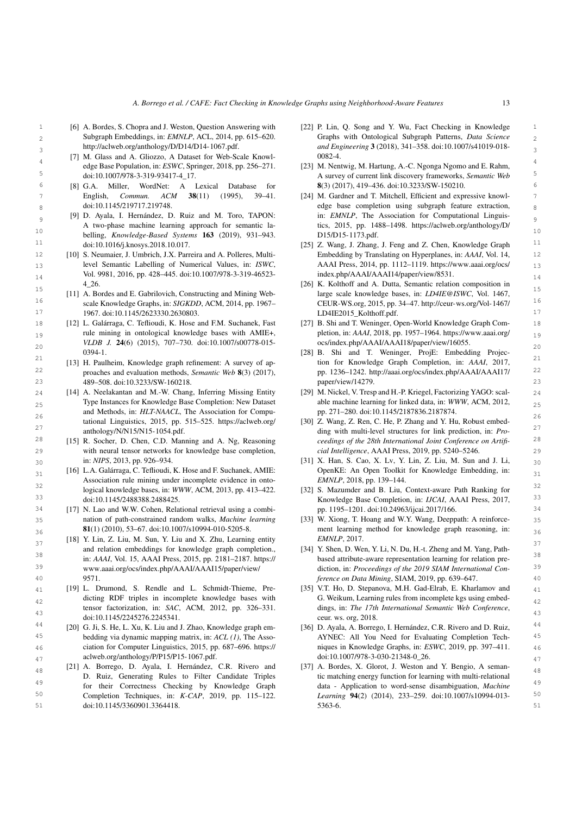- 2 2 Subgraph Embeddings, in: *EMNLP*, ACL, 2014, pp. 615–620. [6] A. Bordes, S. Chopra and J. Weston, Question Answering with http://aclweb.[org/anthology/D/D14/D14-1067](http://aclweb.org/anthology/D/D14/D14-1067.pdf).pdf.
- <span id="page-12-1"></span>[7] M. Glass and A. Gliozzo, A Dataset for Web-Scale Knowl-  $0.082-4$ . edge Base Population, in: *ESWC*, Springer, 2018, pp. 256–271. doi:10.1007/978-3-319-93417-4\_17.
	- English, *Commun. ACM* 38(11) (1995), 39–41. doi:10.1145/219717.219748.
- <span id="page-12-3"></span> $\frac{11}{10}$  doi:10.1016/j.knosys.2018.10.017. [25] Z. Wang, J. Zhang, J. Feng and Z. Chen, Knowledge Graph belling, *Knowledge-Based Systems* 163 (2019), 931–943. doi:10.1016/j.knosys.2018.10.017.
- <span id="page-12-4"></span> $14$  Vol. 9981, 2016, pp. 428–445. doi:10.1007/978-3-319-46523- index.php/AAAI/AAAI14/paper/view/8531. [10] S. Neumaier, J. Umbrich, J.X. Parreira and A. Polleres, Multilevel Semantic Labelling of Numerical Values, in: *ISWC*, 4\_26.
- <span id="page-12-5"></span>16 16 CEUR-WS.org, 2015, pp. 34–47. [http://ceur-ws](http://ceur-ws.org/Vol-1467/LD4IE2015_Kolthoff.pdf).org/Vol-1467/ 17 17 1967. doi:10.1145/2623330.2630803. [11] A. Bordes and E. Gabrilovich, Constructing and Mining Webscale Knowledge Graphs, in: *SIGKDD*, ACM, 2014, pp. 1967–
- $_{19}$  rule mining in ontological knowledge bases with AMIE+,  $_{19}$  pletion, in: AAAI, 2018, pp. 1957–1964. https://www.aaai.org/ $_{19}$ 20 20 *VLDB J.* 24(6) (2015), 707–730. doi:10.1007/s00778-015- 0394-1.
- <span id="page-12-7"></span>22 22 proaches and evaluation methods, *Semantic Web* 8(3) (2017), 23 23 489–508. doi:10.3233/SW-160218. [13] H. Paulheim, Knowledge graph refinement: A survey of ap-
- <span id="page-12-22"></span><span id="page-12-8"></span>24 [14] A. Neelakantan and M.-W. Chang, Inferring Missing Entity [29] M. Nickel, V. Tresp and H.-P. Kriegel, Factorizing YAGO: scal-<br>24  $_{25}$  Type Instances for Knowledge Base Completion: New Dataset able machine learning for linked data, in: WWW, ACM, 2012, and Methods, in: *HLT-NAACL*, The Association for Compu-<br>26<br>26 tational Linguistics, 2015, pp. 515–525. [https://aclweb](https://aclweb.org/anthology/N/N15/N15-1054.pdf).org/ [anthology/N/N15/N15-1054](https://aclweb.org/anthology/N/N15/N15-1054.pdf).pdf.
- <span id="page-12-9"></span>29 with neural tensor networks for knowledge base completion, cial Intelligence, AAAI Press, 2019, pp. 5240–5246. in: *NIPS*, 2013, pp. 926–934.
- <span id="page-12-18"></span> $_{31}$  [16] L.A. Galárraga, C. Teflioudi, K. Hose and F. Suchanek, AMIE: OpenKE: An Open Toolkit for Knowledge Embedding, in:  $_{31}$ Association rule mining under incomplete evidence in onto-<br>32 [16] L.A. Galárraga, C. Teflioudi, K. Hose and F. Suchanek, AMIE: logical knowledge bases, in: *WWW*, ACM, 2013, pp. 413–422. doi:10.1145/2488388.2488425.
- <span id="page-12-25"></span>35 nation of path-constrained random walks, Machine learning [33] W. Xiong, T. Hoang and W.Y. Wang, Deeppath: A reinforce- 35 nation of path-constrained random walks, *Machine learning* 81(1) (2010), 53–67. doi:10.1007/s10994-010-5205-8.
- <span id="page-12-10"></span> $\frac{37}{37}$  [18] Y. Lin, Z. Liu, M. Sun, Y. Liu and X. Zhu, Learning entity EMNLP, 2017. <sup>38</sup> in: *AAAI*, Vol. 15, AAAI Press, 2015, pp. 2181–2187. [https://](https://www.aaai.org/ocs/index.php/AAAI/AAAI15/paper/view/9571) based attribute-aware representation learning for relation pre-<sup>39</sup> www.aaai.org/ocs/index.php/AAAI/AAAI15/paper/view/ diction, in: *Proceedings of the 2019 SIAM International Con*and relation embeddings for knowledge graph completion., www.aaai.org/ocs/index.[php/AAAI/AAAI15/paper/view/](https://www.aaai.org/ocs/index.php/AAAI/AAAI15/paper/view/9571) [9571.](https://www.aaai.org/ocs/index.php/AAAI/AAAI15/paper/view/9571)
- <span id="page-12-29"></span><span id="page-12-11"></span> $_{41}$  [19] L. Drumond, S. Rendle and L. Schmidt-Thieme, Pre- [35] V.T. Ho, D. Stepanova, M.H. Gad-Elrab, E. Kharlamov and  $_{41}$ dicting RDF triples in incomplete knowledge bases with G. Weikum, Learning rules from incomplete kgs using embedtensor factorization, in: *SAC*, ACM, 2012, pp. 326–331. dings, in: *The 17th International Semantic Web Conference*, doi:10.1145/2245276.2245341.
- <sup>44</sup> [20] G. Ji, S. He, L. Xu, K. Liu and J. Zhao, Knowledge graph em- [36] D. Ayala, A. Borrego, I. Hernández, C.R. Rivero and D. Ruiz, 45 45 bedding via dynamic mapping matrix, in: *ACL (1)*, The Asso-46 46 ciation for Computer Linguistics, 2015, pp. 687–696. [https://](https://aclweb.org/anthology/P/P15/P15-1067.pdf)
- <span id="page-12-31"></span><span id="page-12-13"></span> $_{48}$  [21] A. Borrego, D. Ayala, I. Hernández, C.R. Rivero and [37] A. Bordes, X. Glorot, J. Weston and Y. Bengio, A seman-<sup>49</sup> <sup>49</sup> for their Correctness Checking by Knowledge Graph data - Application to word-sense disambiguation, *Machine* 50 **Completion Techniques, in:** *K-CAP*, 2019, pp. 115-122. *Learning* 94(2) (2014), 233-259. doi:10.1007/s10994-013-51 51 doi:10.1145/3360901.3364418. [21] A. Borrego, D. Ayala, I. Hernández, C.R. Rivero and D. Ruiz, Generating Rules to Filter Candidate Triples
- <span id="page-12-14"></span><span id="page-12-0"></span>1 1 [22] P. Lin, Q. Song and Y. Wu, Fact Checking in Knowledge 3 3 *and Engineering* 3 (2018), 341–358. doi:10.1007/s41019-018- Graphs with Ontological Subgraph Patterns, *Data Science* 0082-4.
- <span id="page-12-16"></span><span id="page-12-15"></span><span id="page-12-2"></span>5 5 A survey of current link discovery frameworks, *Semantic Web* 6 6 [8] G.A. Miller, WordNet: A Lexical Database for [23] M. Nentwig, M. Hartung, A.-C. Ngonga Ngomo and E. Rahm, 8(3) (2017), 419–436. doi:10.3233/SW-150210.
- 7 English, Commun. ACM 38(11) (1995), 39–41. [24] M. Gardner and T. Mitchell, Efficient and expressive knowl- $8<sub>8</sub>$  doi:10.1145/219717.219748. 9 [9] D. Ayala, I. Hernández, D. Ruiz and M. Toro, TAPON: in: EMNLP, The Association for Computational Linguis-10 10 A two-phase machine learning approach for semantic lain: *EMNLP*, The Association for Computational Linguistics, 2015, pp. 1488–1498. https://aclweb.[org/anthology/D/](https://aclweb.org/anthology/D/D15/D15-1173.pdf) [D15/D15-1173](https://aclweb.org/anthology/D/D15/D15-1173.pdf).pdf.
- <span id="page-12-17"></span>12 12 Embedding by Translating on Hyperplanes, in: *AAAI*, Vol. 14, 13 13 AAAI Press, 2014, pp. 1112–1119. [https://www](https://www.aaai.org/ocs/index.php/AAAI/AAAI14/paper/view/8531).aaai.org/ocs/ index.[php/AAAI/AAAI14/paper/view/8531.](https://www.aaai.org/ocs/index.php/AAAI/AAAI14/paper/view/8531)
- <span id="page-12-19"></span>15 15 [26] K. Kolthoff and A. Dutta, Semantic relation composition in large scale knowledge bases, in: *LD4IE@ISWC*, Vol. 1467, [LD4IE2015\\_Kolthoff](http://ceur-ws.org/Vol-1467/LD4IE2015_Kolthoff.pdf).pdf.
- <span id="page-12-20"></span><span id="page-12-6"></span>18 [12] L. Galárraga, C. Teflioudi, K. Hose and F.M. Suchanek, Fast [27] B. Shi and T. Weninger, Open-World Knowledge Graph Com-<br>18 [27] B. Shi and T. Weninger, Open-World Knowledge Graph Completion, in: *AAAI*, 2018, pp. 1957–1964. [https://www](https://www.aaai.org/ocs/index.php/AAAI/AAAI18/paper/view/16055).aaai.org/ ocs/index.[php/AAAI/AAAI18/paper/view/16055.](https://www.aaai.org/ocs/index.php/AAAI/AAAI18/paper/view/16055)
- <span id="page-12-21"></span>21 21 [28] B. Shi and T. Weninger, ProjE: Embedding Projection for Knowledge Graph Completion, in: *AAAI*, 2017, pp. 1236–1242. http://aaai.org/ocs/index.[php/AAAI/AAAI17/](http://aaai.org/ocs/index.php/AAAI/AAAI17/paper/view/14279) [paper/view/14279.](http://aaai.org/ocs/index.php/AAAI/AAAI17/paper/view/14279)
	- [29] M. Nickel, V. Tresp and H.-P. Kriegel, Factorizing YAGO: scalable machine learning for linked data, in: *WWW*, ACM, 2012, pp. 271–280. doi:10.1145/2187836.2187874.
- <span id="page-12-23"></span><sup>27</sup> 27 anthology/N/N15/N15-1054.pdf.<br><sup>27</sup> anthology/N/N15/N15-1054.pdf. <sup>27</sup> ding with multi-level structures for link prediction, in: *Pro-*28 [15] R. Socher, D. Chen, C.D. Manning and A. Ng, Reasoning ceedings of the 28th International Joint Conference on Artifi-[30] Z. Wang, Z. Ren, C. He, P. Zhang and Y. Hu, Robust embed*ceedings of the 28th International Joint Conference on Artificial Intelligence*, AAAI Press, 2019, pp. 5240–5246.
- <span id="page-12-24"></span> $_{30}$  in: *NIPS*, 2013, pp. 926–934.  $_{30}$  [31] X. Han, S. Cao, X. Lv, Y. Lin, Z. Liu, M. Sun and J. Li,  $_{30}$ *EMNLP*, 2018, pp. 139–144.
- <span id="page-12-26"></span>33 33 Knowledge Base Completion, in: *IJCAI*, AAAI Press, 2017, 34 34 [17] N. Lao and W.W. Cohen, Relational retrieval using a combi-[32] S. Mazumder and B. Liu, Context-aware Path Ranking for pp. 1195–1201. doi:10.24963/ijcai.2017/166.
- <span id="page-12-27"></span> $36$  31(1) (2010), 53–67. doi:10.1007/s10994-010-5205-8. The ment learning method for knowledge graph reasoning, in: *EMNLP*, 2017.
- <span id="page-12-28"></span>40 40 *ference on Data Mining*, SIAM, 2019, pp. 639–647. [34] Y. Shen, D. Wen, Y. Li, N. Du, H.-t. Zheng and M. Yang, Pathbased attribute-aware representation learning for relation pre-
	- [35] V.T. Ho, D. Stepanova, M.H. Gad-Elrab, E. Kharlamov and G. Weikum, Learning rules from incomplete kgs using embeddings, in: *The 17th International Semantic Web Conference*, ceur. ws. org, 2018.
- <span id="page-12-30"></span><span id="page-12-12"></span> $_{47}$  aclweb.[org/anthology/P/P15/P15-1067](https://aclweb.org/anthology/P/P15/P15-1067.pdf).pdf. doi:10.1007/978-3-030-21348-0\_26. [36] D. Ayala, A. Borrego, I. Hernández, C.R. Rivero and D. Ruiz, AYNEC: All You Need for Evaluating Completion Techniques in Knowledge Graphs, in: *ESWC*, 2019, pp. 397–411. doi:10.1007/978-3-030-21348-0\_26.
	- tic matching energy function for learning with multi-relational data - Application to word-sense disambiguation, *Machine Learning* 94(2) (2014), 233–259. doi:10.1007/s10994-013- 5363-6.